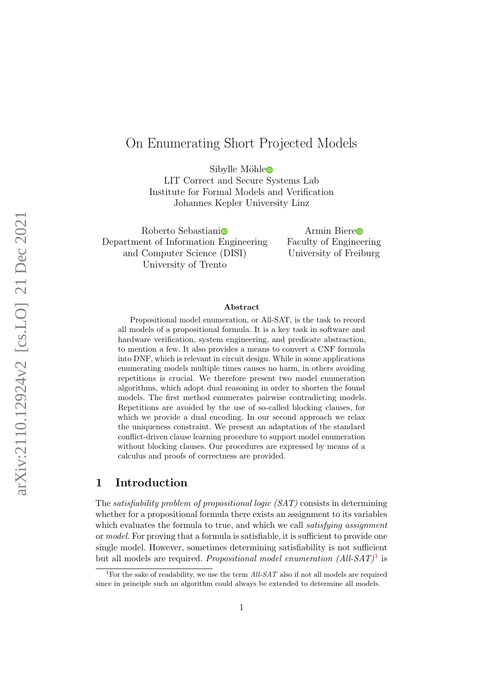# On Enumerating Short Projected Models

Sibyll[e](http://orcid.org/0000-0001-7883-7749) Möhle

LIT Correct and Secure Systems Lab Institute for Formal Models and Verification Johannes Kepler University Linz

Roberto Sebastian[i](http://orcid.org/0000-0002-0989-6101) Department of Information Engineering and Computer Science (DISI) University of Trento

Armin Bier[e](http://orcid.org/0000-0001-7170-9242) Faculty of Engineering University of Freiburg

#### Abstract

Propositional model enumeration, or All-SAT, is the task to record all models of a propositional formula. It is a key task in software and hardware verification, system engineering, and predicate abstraction, to mention a few. It also provides a means to convert a CNF formula into DNF, which is relevant in circuit design. While in some applications enumerating models multiple times causes no harm, in others avoiding repetitions is crucial. We therefore present two model enumeration algorithms, which adopt dual reasoning in order to shorten the found models. The first method enumerates pairwise contradicting models. Repetitions are avoided by the use of so-called blocking clauses, for which we provide a dual encoding. In our second approach we relax the uniqueness constraint. We present an adaptation of the standard conflict-driven clause learning procedure to support model enumeration without blocking clauses. Our procedures are expressed by means of a calculus and proofs of correctness are provided.

# 1 Introduction

The satisfiability problem of propositional logic (SAT) consists in determining whether for a propositional formula there exists an assignment to its variables which evaluates the formula to true, and which we call *satisfying assignment* or model. For proving that a formula is satisfiable, it is sufficient to provide one single model. However, sometimes determining satisfiability is not sufficient but all models are required. Propositional model enumeration  $(All-SAT)^{1}$  $(All-SAT)^{1}$  $(All-SAT)^{1}$  is

<span id="page-0-0"></span><sup>&</sup>lt;sup>1</sup>For the sake of readability, we use the term  $All$ -SAT also if not all models are required since in principle such an algorithm could always be extended to determine all models.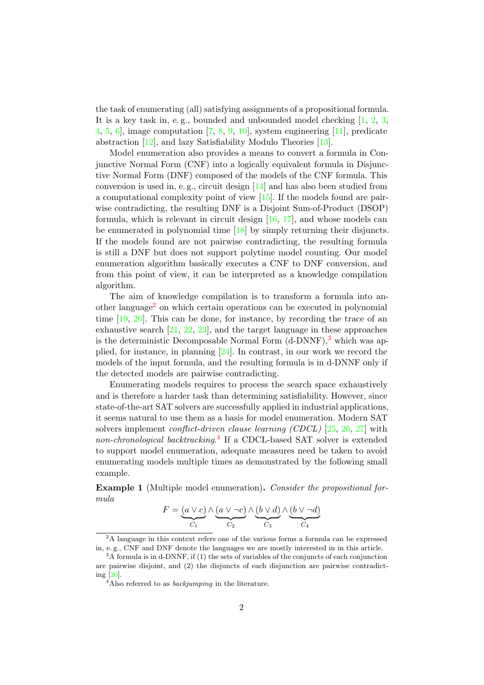the task of enumerating (all) satisfying assignments of a propositional formula. It is a key task in, e.g., bounded and unbounded model checking [\[1,](#page-42-0) [2,](#page-42-1) [3,](#page-42-2)] [4,](#page-43-0) [5,](#page-43-1) [6\]](#page-43-2), image computation [\[7,](#page-43-3) [8,](#page-43-4) [9,](#page-43-5) [10\]](#page-43-6), system engineering [\[11\]](#page-43-7), predicate abstraction [\[12\]](#page-43-8), and lazy Satisfiability Modulo Theories [\[13\]](#page-43-9).

Model enumeration also provides a means to convert a formula in Conjunctive Normal Form (CNF) into a logically equivalent formula in Disjunctive Normal Form (DNF) composed of the models of the CNF formula. This conversion is used in, e. g., circuit design [\[14\]](#page-43-10) and has also been studied from a computational complexity point of view [\[15\]](#page-43-11). If the models found are pairwise contradicting, the resulting DNF is a Disjoint Sum-of-Product (DSOP) formula, which is relevant in circuit design [\[16,](#page-43-12) [17\]](#page-44-0), and whose models can be enumerated in polynomial time [\[18\]](#page-44-1) by simply returning their disjuncts. If the models found are not pairwise contradicting, the resulting formula is still a DNF but does not support polytime model counting. Our model enumeration algorithm basically executes a CNF to DNF conversion, and from this point of view, it can be interpreted as a knowledge compilation algorithm.

The aim of knowledge compilation is to transform a formula into an-other language<sup>[2](#page-1-0)</sup> on which certain operations can be executed in polynomial time  $[19, 20]$  $[19, 20]$  $[19, 20]$ . This can be done, for instance, by recording the trace of an exhaustive search [\[21,](#page-44-4) [22,](#page-44-5) [23\]](#page-44-6), and the target language in these approaches is the deterministic Decomposable Normal Form  $(d-DNNF)$ ,<sup>[3](#page-1-1)</sup> which was applied, for instance, in planning [\[24\]](#page-44-7). In contrast, in our work we record the models of the input formula, and the resulting formula is in d-DNNF only if the detected models are pairwise contradicting.

Enumerating models requires to process the search space exhaustively and is therefore a harder task than determining satisfiability. However, since state-of-the-art SAT solvers are successfully applied in industrial applications, it seems natural to use them as a basis for model enumeration. Modern SAT solvers implement *conflict-driven clause learning (CDCL)* [\[25,](#page-44-8) [26,](#page-44-9) [27\]](#page-44-10) with non-chronological backtracking.<sup>[4](#page-1-2)</sup> If a CDCL-based SAT solver is extended to support model enumeration, adequate measures need be taken to avoid enumerating models multiple times as demonstrated by the following small example.

<span id="page-1-3"></span>Example 1 (Multiple model enumeration). Consider the propositional formula

$$
F = \underbrace{(a \lor c)}_{C_1} \land \underbrace{(a \lor \neg c)}_{C_2} \land \underbrace{(b \lor d)}_{C_3} \land \underbrace{(b \lor \neg d)}_{C_4}
$$

<span id="page-1-0"></span><sup>&</sup>lt;sup>2</sup>A language in this context refers one of the various forms a formula can be expressed in, e. g., CNF and DNF denote the languages we are mostly interested in in this article.

<span id="page-1-1"></span> $3A$  formula is in d-DNNF, if (1) the sets of variables of the conjuncts of each conjunction are pairwise disjoint, and (2) the disjuncts of each disjunction are pairwise contradicting [\[20\]](#page-44-3).

<span id="page-1-2"></span> $4$ Also referred to as *backjumping* in the literature.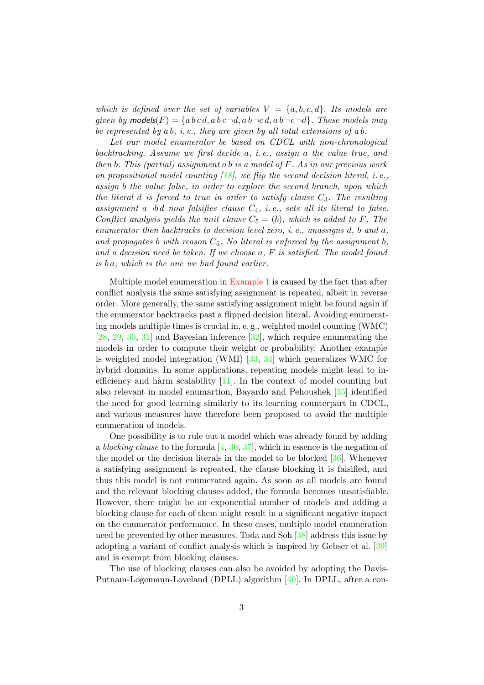which is defined over the set of variables  $V = \{a, b, c, d\}$ . Its models are given by models(F) = {a b c d, a b c  $\neg d$ , a b  $\neg c$  d, a b  $\neg c \neg d$ }. These models may be represented by  $ab$ , i.e., they are given by all total extensions of  $ab$ .

Let our model enumerator be based on CDCL with non-chronological backtracking. Assume we first decide a, i. e., assign a the value true, and then  $b$ . This (partial) assignment  $a b$  is a model of  $F$ . As in our previous work on propositional model counting  $(18)$ , we flip the second decision literal, i.e., assign b the value false, in order to explore the second branch, upon which the literal d is forced to true in order to satisfy clause  $C_3$ . The resulting assignment  $a \neg bd$  now falsifies clause  $C_4$ , i.e., sets all its literal to false. Conflict analysis yields the unit clause  $C_5 = (b)$ , which is added to F. The enumerator then backtracks to decision level zero, i. e., unassigns d, b and a, and propagates b with reason  $C_5$ . No literal is enforced by the assignment b, and a decision need be taken. If we choose a, F is satisfied. The model found  $is\;ba$ , which is the one we had found earlier.

Multiple model enumeration in [Example 1](#page-1-3) is caused by the fact that after conflict analysis the same satisfying assignment is repeated, albeit in reverse order. More generally, the same satisfying assignment might be found again if the enumerator backtracks past a flipped decision literal. Avoiding enumerating models multiple times is crucial in, e. g., weighted model counting (WMC) [\[28,](#page-44-11) [29,](#page-44-12) [30,](#page-44-13) [31\]](#page-45-0) and Bayesian inference [\[32\]](#page-45-1), which require enumerating the models in order to compute their weight or probability. Another example is weighted model integration (WMI) [\[33,](#page-45-2) [34\]](#page-45-3) which generalizes WMC for hybrid domains. In some applications, repeating models might lead to inefficiency and harm scalability  $[11]$ . In the context of model counting but also relevant in model enumartion, Bayardo and Pehoushek [\[35\]](#page-45-4) identified the need for good learning similarly to its learning counterpart in CDCL, and various measures have therefore been proposed to avoid the multiple enumeration of models.

One possibility is to rule out a model which was already found by adding a blocking clause to the formula  $[4, 36, 37]$  $[4, 36, 37]$  $[4, 36, 37]$  $[4, 36, 37]$  $[4, 36, 37]$ , which in essence is the negation of the model or the decision literals in the model to be blocked [\[36\]](#page-45-5). Whenever a satisfying assignment is repeated, the clause blocking it is falsified, and thus this model is not enumerated again. As soon as all models are found and the relevant blocking clauses added, the formula becomes unsatisfiable. However, there might be an exponential number of models and adding a blocking clause for each of them might result in a significant negative impact on the enumerator performance. In these cases, multiple model enumeration need be prevented by other measures. Toda and Soh [\[38\]](#page-45-7) address this issue by adopting a variant of conflict analysis which is inspired by Gebser et al. [\[39\]](#page-45-8) and is exempt from blocking clauses.

The use of blocking clauses can also be avoided by adopting the Davis-Putnam-Logemann-Loveland (DPLL) algorithm [\[40\]](#page-45-9). In DPLL, after a con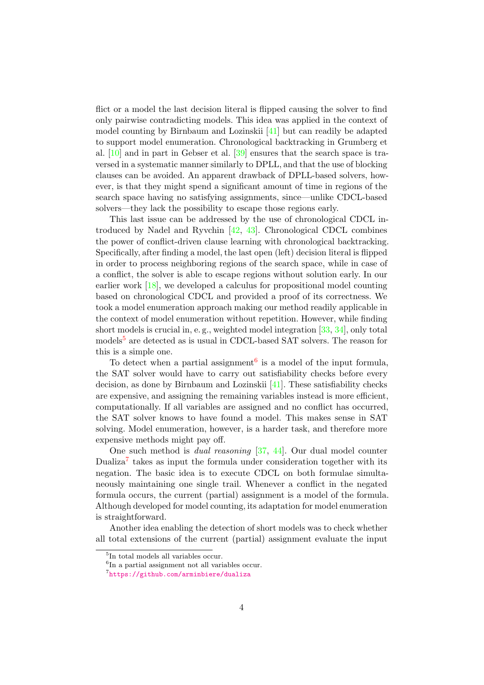flict or a model the last decision literal is flipped causing the solver to find only pairwise contradicting models. This idea was applied in the context of model counting by Birnbaum and Lozinskii [\[41\]](#page-45-10) but can readily be adapted to support model enumeration. Chronological backtracking in Grumberg et al. [\[10\]](#page-43-6) and in part in Gebser et al. [\[39\]](#page-45-8) ensures that the search space is traversed in a systematic manner similarly to DPLL, and that the use of blocking clauses can be avoided. An apparent drawback of DPLL-based solvers, however, is that they might spend a significant amount of time in regions of the search space having no satisfying assignments, since—unlike CDCL-based solvers—they lack the possibility to escape those regions early.

This last issue can be addressed by the use of chronological CDCL introduced by Nadel and Ryvchin [\[42,](#page-45-11) [43\]](#page-45-12). Chronological CDCL combines the power of conflict-driven clause learning with chronological backtracking. Specifically, after finding a model, the last open (left) decision literal is flipped in order to process neighboring regions of the search space, while in case of a conflict, the solver is able to escape regions without solution early. In our earlier work [\[18\]](#page-44-1), we developed a calculus for propositional model counting based on chronological CDCL and provided a proof of its correctness. We took a model enumeration approach making our method readily applicable in the context of model enumeration without repetition. However, while finding short models is crucial in, e. g., weighted model integration [\[33,](#page-45-2) [34\]](#page-45-3), only total models<sup>[5](#page-3-0)</sup> are detected as is usual in CDCL-based SAT solvers. The reason for this is a simple one.

To detect when a partial assignment<sup>[6](#page-3-1)</sup> is a model of the input formula, the SAT solver would have to carry out satisfiability checks before every decision, as done by Birnbaum and Lozinskii [\[41\]](#page-45-10). These satisfiability checks are expensive, and assigning the remaining variables instead is more efficient, computationally. If all variables are assigned and no conflict has occurred, the SAT solver knows to have found a model. This makes sense in SAT solving. Model enumeration, however, is a harder task, and therefore more expensive methods might pay off.

One such method is dual reasoning [\[37,](#page-45-6) [44\]](#page-45-13). Our dual model counter Dualiza<sup>[7](#page-3-2)</sup> takes as input the formula under consideration together with its negation. The basic idea is to execute CDCL on both formulae simultaneously maintaining one single trail. Whenever a conflict in the negated formula occurs, the current (partial) assignment is a model of the formula. Although developed for model counting, its adaptation for model enumeration is straightforward.

Another idea enabling the detection of short models was to check whether all total extensions of the current (partial) assignment evaluate the input

<span id="page-3-0"></span><sup>5</sup> In total models all variables occur.

<span id="page-3-1"></span><sup>6</sup> In a partial assignment not all variables occur.

<span id="page-3-2"></span><sup>7</sup> <https://github.com/arminbiere/dualiza>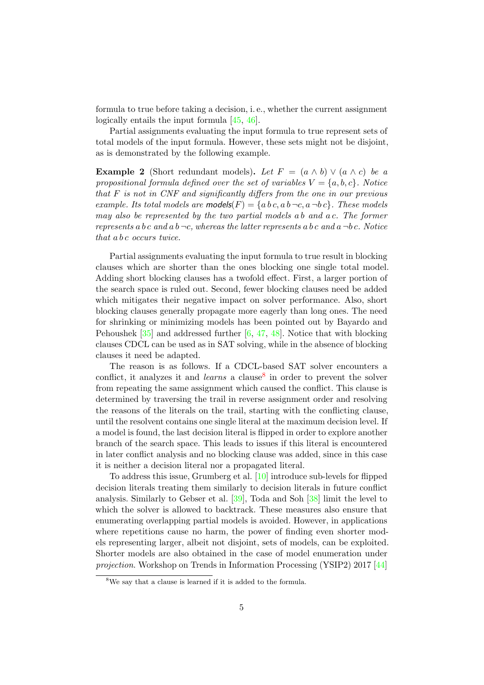formula to true before taking a decision, i. e., whether the current assignment logically entails the input formula [\[45,](#page-46-0) [46\]](#page-46-1).

Partial assignments evaluating the input formula to true represent sets of total models of the input formula. However, these sets might not be disjoint, as is demonstrated by the following example.

**Example 2** (Short redundant models). Let  $F = (a \wedge b) \vee (a \wedge c)$  be a propositional formula defined over the set of variables  $V = \{a, b, c\}$ . Notice that F is not in CNF and significantly differs from the one in our previous example. Its total models are **models** $(F) = \{ab \, c, a \, b \, \neg c, a \, \neg b \, c\}$ . These models may also be represented by the two partial models a b and a c. The former represents a b c and a  $b \neg c$ , whereas the latter represents a b c and a  $\neg bc$ . Notice that a b c occurs twice.

Partial assignments evaluating the input formula to true result in blocking clauses which are shorter than the ones blocking one single total model. Adding short blocking clauses has a twofold effect. First, a larger portion of the search space is ruled out. Second, fewer blocking clauses need be added which mitigates their negative impact on solver performance. Also, short blocking clauses generally propagate more eagerly than long ones. The need for shrinking or minimizing models has been pointed out by Bayardo and Pehoushek  $[35]$  and addressed further  $[6, 47, 48]$  $[6, 47, 48]$  $[6, 47, 48]$  $[6, 47, 48]$  $[6, 47, 48]$ . Notice that with blocking clauses CDCL can be used as in SAT solving, while in the absence of blocking clauses it need be adapted.

The reason is as follows. If a CDCL-based SAT solver encounters a conflict, it analyzes it and *learns* a clause<sup>[8](#page-4-0)</sup> in order to prevent the solver from repeating the same assignment which caused the conflict. This clause is determined by traversing the trail in reverse assignment order and resolving the reasons of the literals on the trail, starting with the conflicting clause, until the resolvent contains one single literal at the maximum decision level. If a model is found, the last decision literal is flipped in order to explore another branch of the search space. This leads to issues if this literal is encountered in later conflict analysis and no blocking clause was added, since in this case it is neither a decision literal nor a propagated literal.

To address this issue, Grumberg et al. [\[10\]](#page-43-6) introduce sub-levels for flipped decision literals treating them similarly to decision literals in future conflict analysis. Similarly to Gebser et al. [\[39\]](#page-45-8), Toda and Soh [\[38\]](#page-45-7) limit the level to which the solver is allowed to backtrack. These measures also ensure that enumerating overlapping partial models is avoided. However, in applications where repetitions cause no harm, the power of finding even shorter models representing larger, albeit not disjoint, sets of models, can be exploited. Shorter models are also obtained in the case of model enumeration under projection. Workshop on Trends in Information Processing (YSIP2) 2017 [\[44\]](#page-45-13)

<span id="page-4-0"></span><sup>&</sup>lt;sup>8</sup>We say that a clause is learned if it is added to the formula.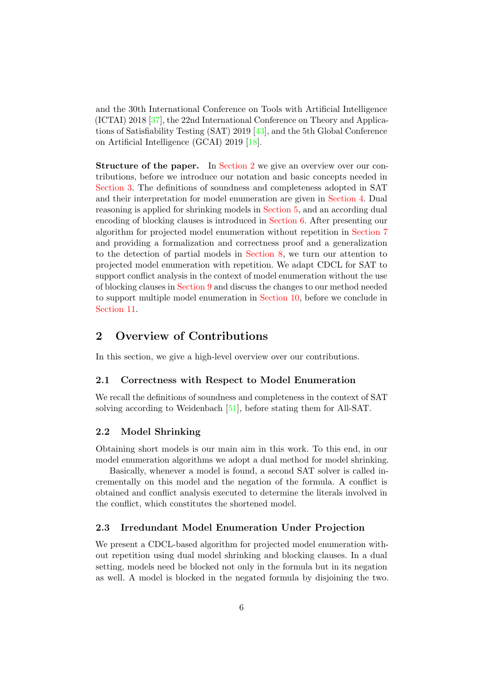and the 30th International Conference on Tools with Artificial Intelligence (ICTAI) 2018 [\[37\]](#page-45-6), the 22nd International Conference on Theory and Applications of Satisfiability Testing (SAT) 2019 [\[43\]](#page-45-12), and the 5th Global Conference on Artificial Intelligence (GCAI) 2019 [\[18\]](#page-44-1).

Structure of the paper. In [Section 2](#page-5-0) we give an overview over our contributions, before we introduce our notation and basic concepts needed in [Section 3.](#page-6-0) The definitions of soundness and completeness adopted in SAT and their interpretation for model enumeration are given in [Section 4.](#page-11-0) Dual reasoning is applied for shrinking models in [Section 5,](#page-12-0) and an according dual encoding of blocking clauses is introduced in [Section 6.](#page-14-0) After presenting our algorithm for projected model enumeration without repetition in [Section 7](#page-17-0) and providing a formalization and correctness proof and a generalization to the detection of partial models in [Section 8,](#page-21-0) we turn our attention to projected model enumeration with repetition. We adapt CDCL for SAT to support conflict analysis in the context of model enumeration without the use of blocking clauses in [Section 9](#page-35-0) and discuss the changes to our method needed to support multiple model enumeration in [Section 10,](#page-37-0) before we conclude in [Section 11.](#page-41-0)

# <span id="page-5-0"></span>2 Overview of Contributions

In this section, we give a high-level overview over our contributions.

## 2.1 Correctness with Respect to Model Enumeration

We recall the definitions of soundness and completeness in the context of SAT solving according to Weidenbach [\[51\]](#page-46-4), before stating them for All-SAT.

## 2.2 Model Shrinking

Obtaining short models is our main aim in this work. To this end, in our model enumeration algorithms we adopt a dual method for model shrinking.

Basically, whenever a model is found, a second SAT solver is called incrementally on this model and the negation of the formula. A conflict is obtained and conflict analysis executed to determine the literals involved in the conflict, which constitutes the shortened model.

## 2.3 Irredundant Model Enumeration Under Projection

We present a CDCL-based algorithm for projected model enumeration without repetition using dual model shrinking and blocking clauses. In a dual setting, models need be blocked not only in the formula but in its negation as well. A model is blocked in the negated formula by disjoining the two.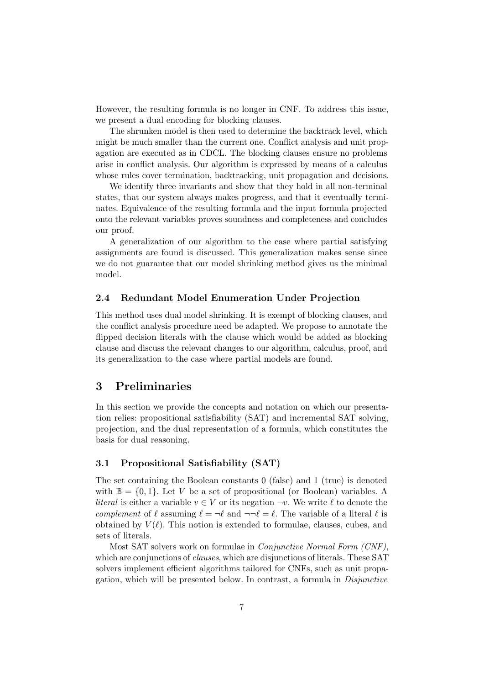However, the resulting formula is no longer in CNF. To address this issue, we present a dual encoding for blocking clauses.

The shrunken model is then used to determine the backtrack level, which might be much smaller than the current one. Conflict analysis and unit propagation are executed as in CDCL. The blocking clauses ensure no problems arise in conflict analysis. Our algorithm is expressed by means of a calculus whose rules cover termination, backtracking, unit propagation and decisions.

We identify three invariants and show that they hold in all non-terminal states, that our system always makes progress, and that it eventually terminates. Equivalence of the resulting formula and the input formula projected onto the relevant variables proves soundness and completeness and concludes our proof.

A generalization of our algorithm to the case where partial satisfying assignments are found is discussed. This generalization makes sense since we do not guarantee that our model shrinking method gives us the minimal model.

## 2.4 Redundant Model Enumeration Under Projection

This method uses dual model shrinking. It is exempt of blocking clauses, and the conflict analysis procedure need be adapted. We propose to annotate the flipped decision literals with the clause which would be added as blocking clause and discuss the relevant changes to our algorithm, calculus, proof, and its generalization to the case where partial models are found.

## <span id="page-6-0"></span>3 Preliminaries

In this section we provide the concepts and notation on which our presentation relies: propositional satisfiability (SAT) and incremental SAT solving, projection, and the dual representation of a formula, which constitutes the basis for dual reasoning.

## 3.1 Propositional Satisfiability (SAT)

The set containing the Boolean constants 0 (false) and 1 (true) is denoted with  $\mathbb{B} = \{0, 1\}$ . Let V be a set of propositional (or Boolean) variables. A *literal* is either a variable  $v \in V$  or its negation  $\neg v$ . We write  $\overline{\ell}$  to denote the complement of  $\ell$  assuming  $\ell = \ell$  and  $\neg \ell = \ell$ . The variable of a literal  $\ell$  is obtained by  $V(\ell)$ . This notion is extended to formulae, clauses, cubes, and sets of literals.

Most SAT solvers work on formulae in Conjunctive Normal Form (CNF), which are conjunctions of *clauses*, which are disjunctions of literals. These SAT solvers implement efficient algorithms tailored for CNFs, such as unit propagation, which will be presented below. In contrast, a formula in Disjunctive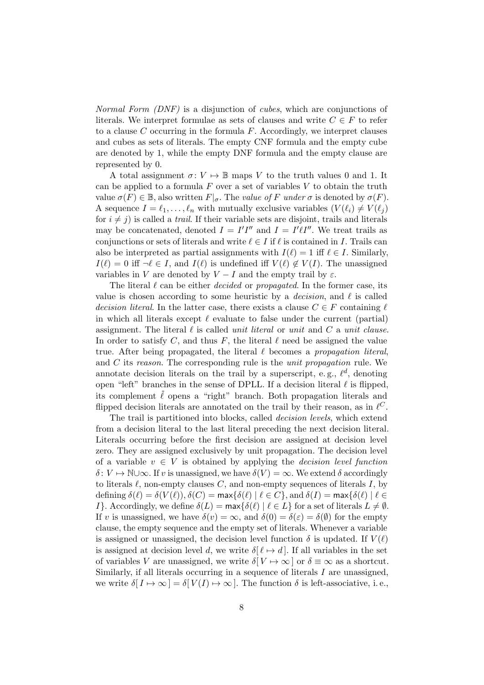Normal Form (DNF) is a disjunction of cubes, which are conjunctions of literals. We interpret formulae as sets of clauses and write  $C \in F$  to refer to a clause  $C$  occurring in the formula  $F$ . Accordingly, we interpret clauses and cubes as sets of literals. The empty CNF formula and the empty cube are denoted by 1, while the empty DNF formula and the empty clause are represented by 0.

A total assignment  $\sigma: V \mapsto \mathbb{B}$  maps V to the truth values 0 and 1. It can be applied to a formula  $F$  over a set of variables  $V$  to obtain the truth value  $\sigma(F) \in \mathbb{B}$ , also written  $F|_{\sigma}$ . The value of F under  $\sigma$  is denoted by  $\sigma(F)$ . A sequence  $I = \ell_1, \ldots, \ell_n$  with mutually exclusive variables  $(V(\ell_i) \neq V(\ell_j))$ for  $i \neq j$ ) is called a *trail*. If their variable sets are disjoint, trails and literals may be concatenated, denoted  $I = I'I''$  and  $I = I'l'I''$ . We treat trails as conjunctions or sets of literals and write  $\ell \in I$  if  $\ell$  is contained in I. Trails can also be interpreted as partial assignments with  $I(\ell) = 1$  iff  $\ell \in I$ . Similarly,  $I(\ell) = 0$  iff  $\neg \ell \in I$ , and  $I(\ell)$  is undefined iff  $V(\ell) \notin V(I)$ . The unassigned variables in V are denoted by  $V - I$  and the empty trail by  $\varepsilon$ .

The literal  $\ell$  can be either *decided* or *propagated*. In the former case, its value is chosen according to some heuristic by a *decision*, and  $\ell$  is called decision literal. In the latter case, there exists a clause  $C \in F$  containing  $\ell$ in which all literals except  $\ell$  evaluate to false under the current (partial) assignment. The literal  $\ell$  is called *unit literal* or *unit* and C a *unit clause.* In order to satisfy C, and thus F, the literal  $\ell$  need be assigned the value true. After being propagated, the literal  $\ell$  becomes a propagation literal, and C its reason. The corresponding rule is the unit propagation rule. We annotate decision literals on the trail by a superscript, e.g.,  $\ell^d$ , denoting open "left" branches in the sense of DPLL. If a decision literal  $\ell$  is flipped, its complement  $\bar{\ell}$  opens a "right" branch. Both propagation literals and flipped decision literals are annotated on the trail by their reason, as in  $\ell^C$ .

The trail is partitioned into blocks, called decision levels, which extend from a decision literal to the last literal preceding the next decision literal. Literals occurring before the first decision are assigned at decision level zero. They are assigned exclusively by unit propagation. The decision level of a variable  $v \in V$  is obtained by applying the *decision level function*  $\delta: V \mapsto \mathbb{N} \cup \infty$ . If v is unassigned, we have  $\delta(V) = \infty$ . We extend  $\delta$  accordingly to literals  $\ell$ , non-empty clauses  $C$ , and non-empty sequences of literals  $I$ , by defining  $\delta(\ell) = \delta(V(\ell)), \delta(C) = \max{\{\delta(\ell) | \ell \in C\}}$ , and  $\delta(I) = \max{\{\delta(\ell) | \ell \in C\}}$ I}. Accordingly, we define  $\delta(L) = \max{\{\delta(\ell) | \ell \in L\}}$  for a set of literals  $L \neq \emptyset$ . If v is unassigned, we have  $\delta(v) = \infty$ , and  $\delta(0) = \delta(\varepsilon) = \delta(\emptyset)$  for the empty clause, the empty sequence and the empty set of literals. Whenever a variable is assigned or unassigned, the decision level function  $\delta$  is updated. If  $V(\ell)$ is assigned at decision level d, we write  $\delta[\ell \mapsto d]$ . If all variables in the set of variables V are unassigned, we write  $\delta[V \mapsto \infty]$  or  $\delta \equiv \infty$  as a shortcut. Similarly, if all literals occurring in a sequence of literals I are unassigned, we write  $\delta[I \mapsto \infty] = \delta[V(I) \mapsto \infty]$ . The function  $\delta$  is left-associative, i.e.,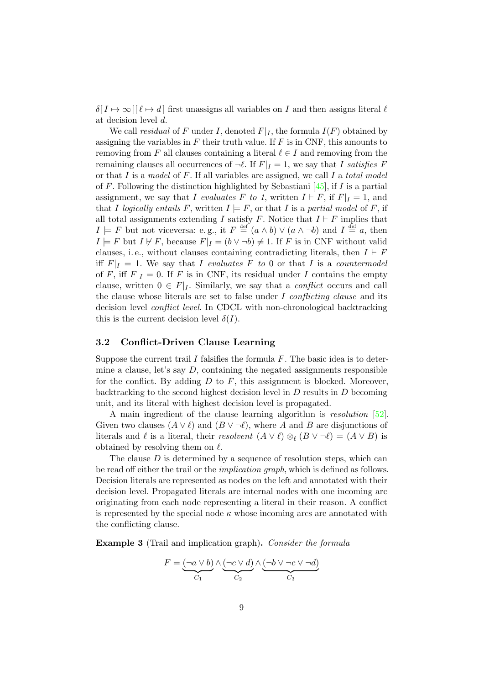$\delta[I \mapsto \infty][\ell \mapsto d]$  first unassigns all variables on I and then assigns literal  $\ell$ at decision level d.

We call residual of F under I, denoted  $F|_I$ , the formula  $I(F)$  obtained by assigning the variables in  $F$  their truth value. If  $F$  is in CNF, this amounts to removing from F all clauses containing a literal  $\ell \in I$  and removing from the remaining clauses all occurrences of  $\neg \ell$ . If  $F|_I = 1$ , we say that I satisfies F or that I is a model of F. If all variables are assigned, we call I a total model of F. Following the distinction highlighted by Sebastiani [\[45\]](#page-46-0), if  $I$  is a partial assignment, we say that I evaluates F to 1, written  $I \vdash F$ , if  $F|_I = 1$ , and that I logically entails F, written  $I \models F$ , or that I is a partial model of F, if all total assignments extending I satisfy F. Notice that  $I \vdash F$  implies that  $I \models F$  but not viceversa: e.g., it  $F \stackrel{\text{def}}{=} (a \land b) \lor (a \land \neg b)$  and  $I \stackrel{\text{def}}{=} a$ , then  $I \models F$  but  $I \not\vdash F$ , because  $F|_I = (b \vee \neg b) \neq 1$ . If F is in CNF without valid clauses, i.e., without clauses containing contradicting literals, then  $I \vdash F$ iff  $F|_I = 1$ . We say that I evaluates F to 0 or that I is a countermodel of F, iff  $F|_I = 0$ . If F is in CNF, its residual under I contains the empty clause, written  $0 \in F|_I$ . Similarly, we say that a *conflict* occurs and call the clause whose literals are set to false under  $I$  conflicting clause and its decision level *conflict level*. In CDCL with non-chronological backtracking this is the current decision level  $\delta(I)$ .

## <span id="page-8-1"></span>3.2 Conflict-Driven Clause Learning

Suppose the current trail I falsifies the formula  $F$ . The basic idea is to determine a clause, let's say  $D$ , containing the negated assignments responsible for the conflict. By adding  $D$  to  $F$ , this assignment is blocked. Moreover, backtracking to the second highest decision level in D results in D becoming unit, and its literal with highest decision level is propagated.

A main ingredient of the clause learning algorithm is resolution [\[52\]](#page-46-5). Given two clauses  $(A \vee \ell)$  and  $(B \vee \neg \ell)$ , where A and B are disjunctions of literals and  $\ell$  is a literal, their resolvent  $(A \vee \ell) \otimes_{\ell} (B \vee \neg \ell) = (A \vee B)$  is obtained by resolving them on  $\ell$ .

The clause  $D$  is determined by a sequence of resolution steps, which can be read off either the trail or the implication graph, which is defined as follows. Decision literals are represented as nodes on the left and annotated with their decision level. Propagated literals are internal nodes with one incoming arc originating from each node representing a literal in their reason. A conflict is represented by the special node  $\kappa$  whose incoming arcs are annotated with the conflicting clause.

<span id="page-8-0"></span>**Example 3** (Trail and implication graph). Consider the formula

$$
F = \underbrace{(\neg a \lor b)}_{C_1} \land \underbrace{(\neg c \lor d)}_{C_2} \land \underbrace{(\neg b \lor \neg c \lor \neg d)}_{C_3}
$$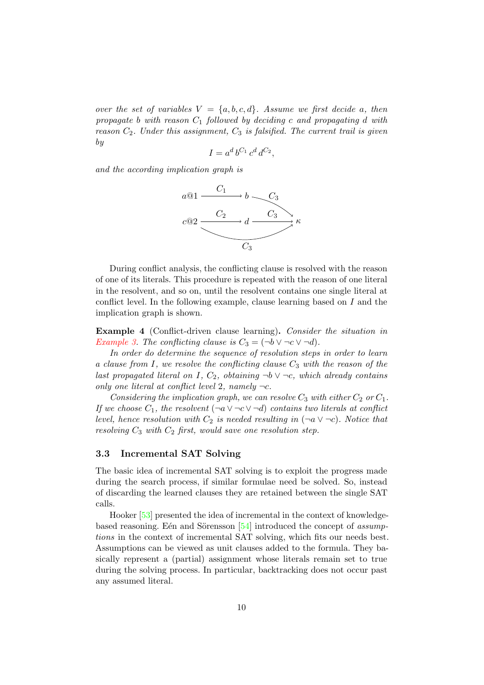over the set of variables  $V = \{a, b, c, d\}$ . Assume we first decide a, then propagate b with reason  $C_1$  followed by deciding c and propagating d with reason  $C_2$ . Under this assignment,  $C_3$  is falsified. The current trail is given by

$$
I = a^d b^{C_1} c^d d^{C_2},
$$

and the according implication graph is



During conflict analysis, the conflicting clause is resolved with the reason of one of its literals. This procedure is repeated with the reason of one literal in the resolvent, and so on, until the resolvent contains one single literal at conflict level. In the following example, clause learning based on I and the implication graph is shown.

Example 4 (Conflict-driven clause learning). Consider the situation in [Example 3.](#page-8-0) The conflicting clause is  $C_3 = (\neg b \lor \neg c \lor \neg d)$ .

In order do determine the sequence of resolution steps in order to learn a clause from I, we resolve the conflicting clause  $C_3$  with the reason of the last propagated literal on I,  $C_2$ , obtaining  $\neg b \lor \neg c$ , which already contains only one literal at conflict level 2, namely  $\neg c$ .

Considering the implication graph, we can resolve  $C_3$  with either  $C_2$  or  $C_1$ . If we choose  $C_1$ , the resolvent  $(\neg a \lor \neg c \lor \neg d)$  contains two literals at conflict level, hence resolution with  $C_2$  is needed resulting in  $(\neg a \lor \neg c)$ . Notice that resolving  $C_3$  with  $C_2$  first, would save one resolution step.

#### 3.3 Incremental SAT Solving

The basic idea of incremental SAT solving is to exploit the progress made during the search process, if similar formulae need be solved. So, instead of discarding the learned clauses they are retained between the single SAT calls.

Hooker [\[53\]](#page-46-6) presented the idea of incremental in the context of knowledgebased reasoning. Eén and Sörensson  $[54]$  introduced the concept of assumptions in the context of incremental SAT solving, which fits our needs best. Assumptions can be viewed as unit clauses added to the formula. They basically represent a (partial) assignment whose literals remain set to true during the solving process. In particular, backtracking does not occur past any assumed literal.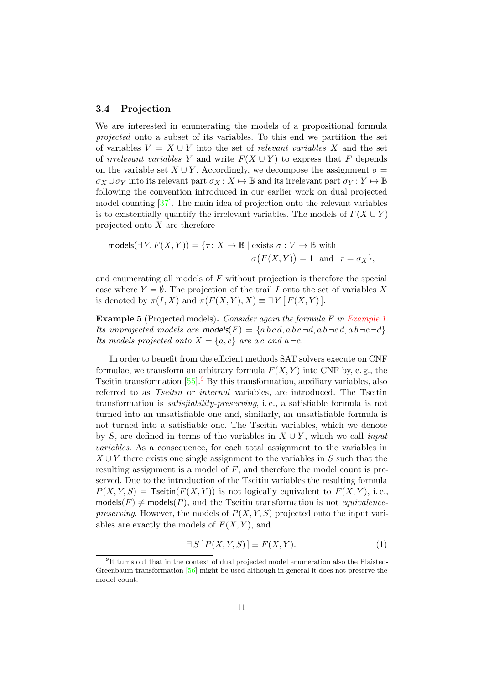#### <span id="page-10-1"></span>3.4 Projection

We are interested in enumerating the models of a propositional formula projected onto a subset of its variables. To this end we partition the set of variables  $V = X \cup Y$  into the set of relevant variables X and the set of *irrelevant variables* Y and write  $F(X \cup Y)$  to express that F depends on the variable set  $X \cup Y$ . Accordingly, we decompose the assignment  $\sigma =$  $\sigma_X \cup \sigma_Y$  into its relevant part  $\sigma_X : X \mapsto \mathbb{B}$  and its irrelevant part  $\sigma_Y : Y \mapsto \mathbb{B}$ following the convention introduced in our earlier work on dual projected model counting [\[37\]](#page-45-6). The main idea of projection onto the relevant variables is to existentially quantify the irrelevant variables. The models of  $F(X \cup Y)$ projected onto  $X$  are therefore

$$
\text{models}(\exists Y. F(X, Y)) = \{\tau: X \to \mathbb{B} \mid \text{exists } \sigma: V \to \mathbb{B} \text{ with}
$$

$$
\sigma(F(X, Y)) = 1 \text{ and } \tau = \sigma_X\},
$$

and enumerating all models of  $F$  without projection is therefore the special case where  $Y = \emptyset$ . The projection of the trail I onto the set of variables X is denoted by  $\pi(I, X)$  and  $\pi(F(X, Y), X) \equiv \exists Y [ F(X, Y) ].$ 

<span id="page-10-2"></span>Example 5 (Projected models). Consider again the formula F in [Example 1.](#page-1-3) Its unprojected models are models(F) =  ${abc\,d, a b \neg d, a b \neg c \neg d, a b \neg c \neg d}.$ Its models projected onto  $X = \{a, c\}$  are a c and  $a \neg c$ .

In order to benefit from the efficient methods SAT solvers execute on CNF formulae, we transform an arbitrary formula  $F(X, Y)$  into CNF by, e.g., the Tseitin transformation  $[55]$ . By this transformation, auxiliary variables, also referred to as Tseitin or internal variables, are introduced. The Tseitin transformation is satisfiability-preserving, i. e., a satisfiable formula is not turned into an unsatisfiable one and, similarly, an unsatisfiable formula is not turned into a satisfiable one. The Tseitin variables, which we denote by S, are defined in terms of the variables in  $X \cup Y$ , which we call *input* variables. As a consequence, for each total assignment to the variables in  $X \cup Y$  there exists one single assignment to the variables in S such that the resulting assignment is a model of F, and therefore the model count is preserved. Due to the introduction of the Tseitin variables the resulting formula  $P(X, Y, S)$  = Tseitin( $F(X, Y)$ ) is not logically equivalent to  $F(X, Y)$ , i.e.,  $models(F) \neq models(P)$ , and the Tseitin transformation is not *equivalencepreserving.* However, the models of  $P(X, Y, S)$  projected onto the input variables are exactly the models of  $F(X, Y)$ , and

$$
\exists S \left[ P(X, Y, S) \right] \equiv F(X, Y). \tag{1}
$$

<span id="page-10-0"></span><sup>&</sup>lt;sup>9</sup>It turns out that in the context of dual projected model enumeration also the Plaisted-Greenbaum transformation [\[56\]](#page-46-9) might be used although in general it does not preserve the model count.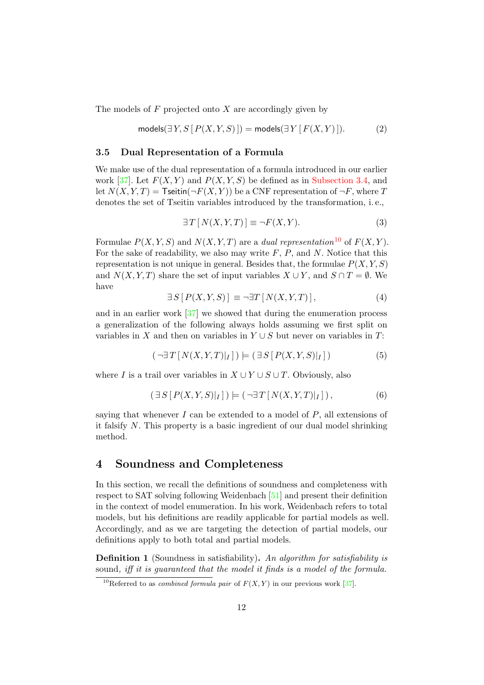The models of  $F$  projected onto  $X$  are accordingly given by

$$
\text{models}(\exists Y, S \, [ P(X, Y, S) ] ) = \text{models}(\exists Y \, [ F(X, Y) ] ). \tag{2}
$$

#### <span id="page-11-7"></span>3.5 Dual Representation of a Formula

We make use of the dual representation of a formula introduced in our earlier work [\[37\]](#page-45-6). Let  $F(X, Y)$  and  $P(X, Y, S)$  be defined as in [Subsection 3.4,](#page-10-1) and let  $N(X, Y, T) =$  Tseitin( $\neg F(X, Y)$ ) be a CNF representation of  $\neg F$ , where T denotes the set of Tseitin variables introduced by the transformation, i. e.,

<span id="page-11-3"></span>
$$
\exists T \left[ N(X, Y, T) \right] \equiv \neg F(X, Y). \tag{3}
$$

Formulae  $P(X, Y, S)$  and  $N(X, Y, T)$  are a *dual representation*<sup>[10](#page-11-1)</sup> of  $F(X, Y)$ . For the sake of readability, we also may write  $F$ ,  $P$ , and  $N$ . Notice that this representation is not unique in general. Besides that, the formulae  $P(X, Y, S)$ and  $N(X, Y, T)$  share the set of input variables  $X \cup Y$ , and  $S \cap T = \emptyset$ . We have

<span id="page-11-5"></span>
$$
\exists S \left[ P(X, Y, S) \right] \equiv \neg \exists T \left[ N(X, Y, T) \right],\tag{4}
$$

<span id="page-11-6"></span>and in an earlier work [\[37\]](#page-45-6) we showed that during the enumeration process a generalization of the following always holds assuming we first split on variables in X and then on variables in  $Y \cup S$  but never on variables in T:

<span id="page-11-4"></span>
$$
(\neg \exists T \left[ N(X, Y, T)|_I \right]) \models (\exists S \left[ P(X, Y, S)|_I \right])
$$
\n
$$
(5)
$$

where I is a trail over variables in  $X \cup Y \cup S \cup T$ . Obviously, also

$$
(\exists S\left[P(X,Y,S)|_I\right]) \models (\neg \exists T\left[N(X,Y,T)|_I\right]),\tag{6}
$$

saying that whenever  $I$  can be extended to a model of  $P$ , all extensions of it falsify N. This property is a basic ingredient of our dual model shrinking method.

## <span id="page-11-0"></span>4 Soundness and Completeness

In this section, we recall the definitions of soundness and completeness with respect to SAT solving following Weidenbach [\[51\]](#page-46-4) and present their definition in the context of model enumeration. In his work, Weidenbach refers to total models, but his definitions are readily applicable for partial models as well. Accordingly, and as we are targeting the detection of partial models, our definitions apply to both total and partial models.

<span id="page-11-2"></span>Definition 1 (Soundness in satisfiability). An algorithm for satisfiability is sound, iff it is guaranteed that the model it finds is a model of the formula.

<span id="page-11-1"></span><sup>&</sup>lt;sup>10</sup>Referred to as *combined formula pair* of  $F(X, Y)$  in our previous work [\[37\]](#page-45-6).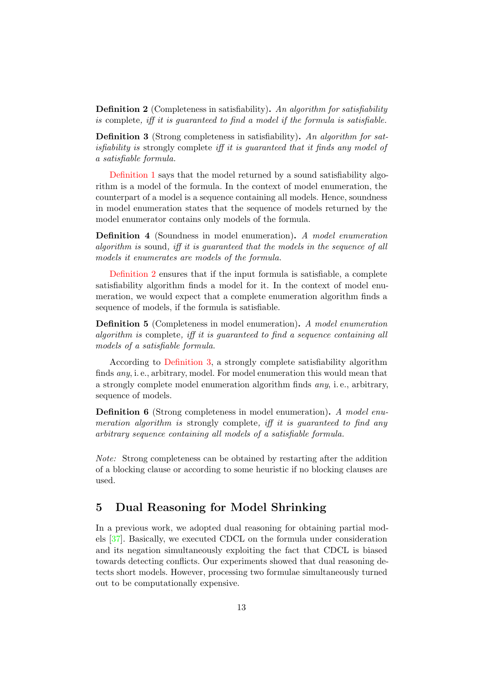<span id="page-12-1"></span>Definition 2 (Completeness in satisfiability). An algorithm for satisfiability is complete, iff it is guaranteed to find a model if the formula is satisfiable.

<span id="page-12-2"></span>Definition 3 (Strong completeness in satisfiability). An algorithm for satisfiability is strongly complete iff it is guaranteed that it finds any model of a satisfiable formula.

[Definition 1](#page-11-2) says that the model returned by a sound satisfiability algorithm is a model of the formula. In the context of model enumeration, the counterpart of a model is a sequence containing all models. Hence, soundness in model enumeration states that the sequence of models returned by the model enumerator contains only models of the formula.

<span id="page-12-3"></span>Definition 4 (Soundness in model enumeration). A model enumeration algorithm is sound, iff it is guaranteed that the models in the sequence of all models it enumerates are models of the formula.

[Definition 2](#page-12-1) ensures that if the input formula is satisfiable, a complete satisfiability algorithm finds a model for it. In the context of model enumeration, we would expect that a complete enumeration algorithm finds a sequence of models, if the formula is satisfiable.

<span id="page-12-4"></span>Definition 5 (Completeness in model enumeration). A model enumeration algorithm is complete, iff it is guaranteed to find a sequence containing all models of a satisfiable formula.

According to [Definition 3,](#page-12-2) a strongly complete satisfiability algorithm finds any, i. e., arbitrary, model. For model enumeration this would mean that a strongly complete model enumeration algorithm finds any, i. e., arbitrary, sequence of models.

<span id="page-12-5"></span>Definition 6 (Strong completeness in model enumeration). A model enumeration algorithm is strongly complete, iff it is quaranteed to find any arbitrary sequence containing all models of a satisfiable formula.

Note: Strong completeness can be obtained by restarting after the addition of a blocking clause or according to some heuristic if no blocking clauses are used.

# <span id="page-12-0"></span>5 Dual Reasoning for Model Shrinking

In a previous work, we adopted dual reasoning for obtaining partial models [\[37\]](#page-45-6). Basically, we executed CDCL on the formula under consideration and its negation simultaneously exploiting the fact that CDCL is biased towards detecting conflicts. Our experiments showed that dual reasoning detects short models. However, processing two formulae simultaneously turned out to be computationally expensive.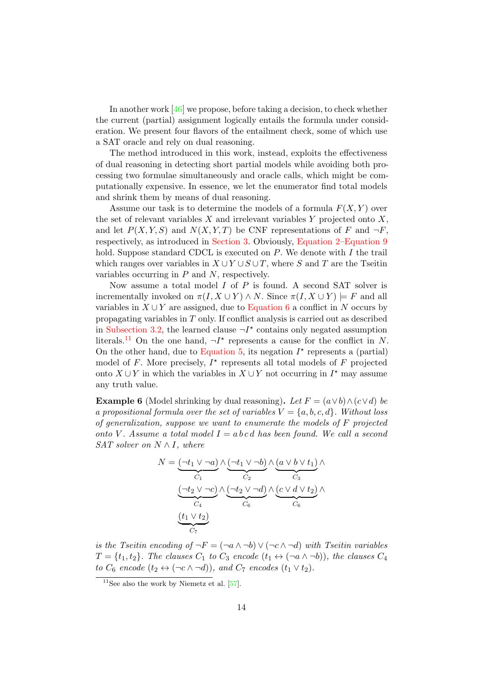In another work  $[46]$  we propose, before taking a decision, to check whether the current (partial) assignment logically entails the formula under consideration. We present four flavors of the entailment check, some of which use a SAT oracle and rely on dual reasoning.

The method introduced in this work, instead, exploits the effectiveness of dual reasoning in detecting short partial models while avoiding both processing two formulae simultaneously and oracle calls, which might be computationally expensive. In essence, we let the enumerator find total models and shrink them by means of dual reasoning.

Assume our task is to determine the models of a formula  $F(X, Y)$  over the set of relevant variables  $X$  and irrelevant variables  $Y$  projected onto  $X$ . and let  $P(X, Y, S)$  and  $N(X, Y, T)$  be CNF representations of F and  $\neg F$ , respectively, as introduced in [Section 3.](#page-6-0) Obviously, [Equation 2–](#page-11-3)[Equation 9](#page-15-0) hold. Suppose standard CDCL is executed on  $P$ . We denote with  $I$  the trail which ranges over variables in  $X \cup Y \cup S \cup T$ , where S and T are the Tseitin variables occurring in  $P$  and  $N$ , respectively.

Now assume a total model  $I$  of  $P$  is found. A second SAT solver is incrementally invoked on  $\pi(I, X \cup Y) \wedge N$ . Since  $\pi(I, X \cup Y) \models F$  and all variables in  $X \cup Y$  are assigned, due to [Equation 6](#page-11-4) a conflict in N occurs by propagating variables in T only. If conflict analysis is carried out as described in [Subsection 3.2,](#page-8-1) the learned clause  $\neg I^*$  contains only negated assumption literals.<sup>[11](#page-13-0)</sup> On the one hand,  $\neg I^*$  represents a cause for the conflict in N. On the other hand, due to [Equation 5,](#page-11-5) its negation  $I^*$  represents a (partial) model of F. More precisely,  $I^*$  represents all total models of F projected onto  $X \cup Y$  in which the variables in  $X \cup Y$  not occurring in  $I^*$  may assume any truth value.

<span id="page-13-1"></span>**Example 6** (Model shrinking by dual reasoning). Let  $F = (a \vee b) \wedge (c \vee d)$  be a propositional formula over the set of variables  $V = \{a, b, c, d\}$ . Without loss of generalization, suppose we want to enumerate the models of F projected onto V. Assume a total model  $I = a b c d$  has been found. We call a second SAT solver on  $N \wedge I$ , where

$$
N = \underbrace{(\neg t_1 \lor \neg a)}_{C_1} \land \underbrace{(\neg t_1 \lor \neg b)}_{C_2} \land \underbrace{(\neg t_2 \lor \neg c)}_{C_3} \land \underbrace{(\neg t_2 \lor \neg c)}_{C_6} \land \underbrace{(\neg t_2 \lor \neg d)}_{C_6} \land \underbrace{(\neg t_2 \lor \neg d)}_{C_6} \land \underbrace{(\neg t_2 \lor \neg d)}_{C_7} \land \underbrace{(\neg t_2 \lor \neg d)}_{C_8}
$$

is the Tseitin encoding of  $\neg F = (\neg a \land \neg b) \lor (\neg c \land \neg d)$  with Tseitin variables  $T = \{t_1, t_2\}$ . The clauses  $C_1$  to  $C_3$  encode  $(t_1 \leftrightarrow (\neg a \wedge \neg b))$ , the clauses  $C_4$ to  $C_6$  encode  $(t_2 \leftrightarrow (\neg c \land \neg d))$ , and  $C_7$  encodes  $(t_1 \lor t_2)$ .

<span id="page-13-0"></span> $11$ See also the work by Niemetz et al. [\[57\]](#page-46-10).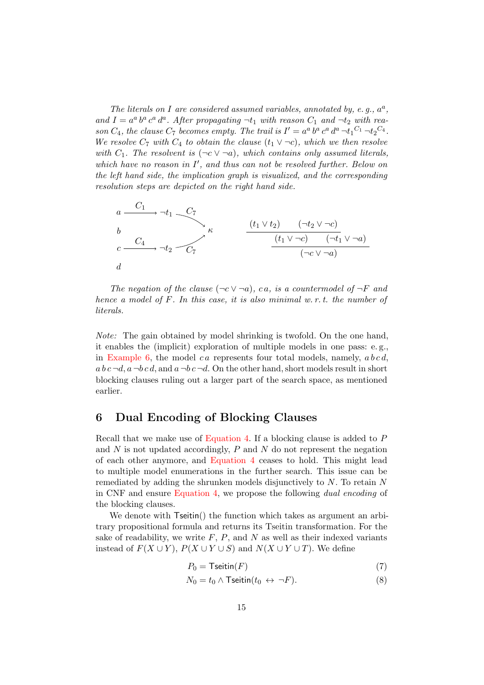The literals on I are considered assumed variables, annotated by, e.g.,  $a^a$ , and  $I = a^a b^a c^a d^a$ . After propagating  $\neg t_1$  with reason  $C_1$  and  $\neg t_2$  with reason  $C_4$ , the clause  $C_7$  becomes empty. The trail is  $I' = a^a b^a c^a d^a \neg t_1^{C_1} \neg t_2^{C_4}$ . We resolve  $C_7$  with  $C_4$  to obtain the clause  $(t_1 \vee \neg c)$ , which we then resolve with  $C_1$ . The resolvent is  $(\neg c \lor \neg a)$ , which contains only assumed literals, which have no reason in  $I'$ , and thus can not be resolved further. Below on the left hand side, the implication graph is visualized, and the corresponding resolution steps are depicted on the right hand side.



The negation of the clause  $(\neg c \lor \neg a)$ , ca, is a countermodel of  $\neg F$  and hence a model of F. In this case, it is also minimal w.r.t. the number of literals.

Note: The gain obtained by model shrinking is twofold. On the one hand, it enables the (implicit) exploration of multiple models in one pass: e. g., in [Example 6,](#page-13-1) the model c a represents four total models, namely,  $a b c d$ ,  $a b c \neg d$ ,  $a \neg b c d$ , and  $a \neg b c \neg d$ . On the other hand, short models result in short blocking clauses ruling out a larger part of the search space, as mentioned earlier.

# <span id="page-14-0"></span>6 Dual Encoding of Blocking Clauses

Recall that we make use of [Equation 4.](#page-11-6) If a blocking clause is added to P and  $N$  is not updated accordingly,  $P$  and  $N$  do not represent the negation of each other anymore, and [Equation 4](#page-11-6) ceases to hold. This might lead to multiple model enumerations in the further search. This issue can be remediated by adding the shrunken models disjunctively to N. To retain N in CNF and ensure [Equation 4,](#page-11-6) we propose the following dual encoding of the blocking clauses.

We denote with  $T_{setin}()$  the function which takes as argument an arbitrary propositional formula and returns its Tseitin transformation. For the sake of readability, we write  $F$ ,  $P$ , and  $N$  as well as their indexed variants instead of  $F(X \cup Y)$ ,  $P(X \cup Y \cup S)$  and  $N(X \cup Y \cup T)$ . We define

<span id="page-14-2"></span><span id="page-14-1"></span>
$$
P_0 = \mathsf{Tseitin}(F) \tag{7}
$$

$$
N_0 = t_0 \wedge \text{Tseitin}(t_0 \leftrightarrow \neg F). \tag{8}
$$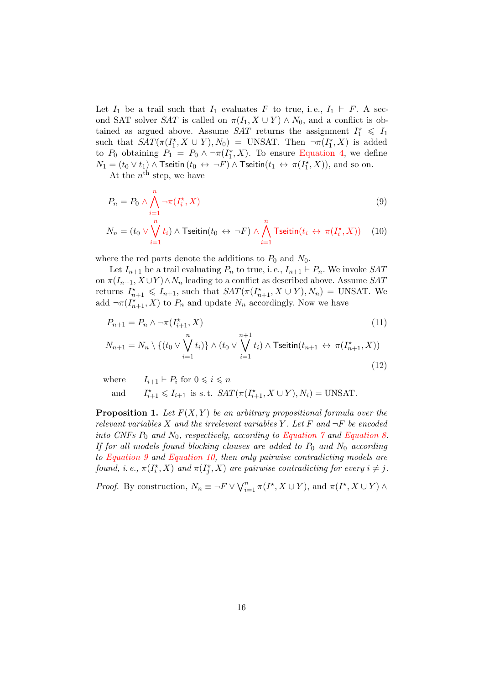Let  $I_1$  be a trail such that  $I_1$  evaluates F to true, i.e.,  $I_1 \vdash F$ . A second SAT solver SAT is called on  $\pi(I_1, X \cup Y) \wedge N_0$ , and a conflict is obtained as argued above. Assume SAT returns the assignment  $I_1^* \leq I_1$ such that  $SAT(\pi(I_1^*, X \cup Y), N_0) = \text{UNSAT}$ . Then  $\neg \pi(I_1^*, X)$  is added to  $P_0$  obtaining  $P_1 = P_0 \wedge \neg \pi(I_1^*, X)$ . To ensure [Equation 4,](#page-11-6) we define  $N_1=(t_0\vee t_1)\wedge \mathsf{T}$ seitin $(t_0\leftrightarrow\neg F)\wedge \mathsf{T}$ seitin $(t_1\leftrightarrow \pi(I_1^\star,X)),$  and so on.

At the  $n^{\text{th}}$  step, we have

$$
P_n = P_0 \wedge \bigwedge_{i=1}^n \neg \pi(I_i^*, X) \tag{9}
$$

$$
N_n = (t_0 \vee \bigvee_{i=1}^n t_i) \wedge \text{Tseitin}(t_0 \leftrightarrow \neg F) \wedge \bigwedge_{i=1}^n \text{Tseitin}(t_i \leftrightarrow \pi(I_i^*, X)) \quad (10)
$$

where the red parts denote the additions to  $P_0$  and  $N_0$ .

Let  $I_{n+1}$  be a trail evaluating  $P_n$  to true, i.e.,  $I_{n+1} \vdash P_n$ . We invoke SAT on  $\pi(I_{n+1}, X \cup Y) \wedge N_n$  leading to a conflict as described above. Assume SAT returns  $I_{n+1}^* \leq I_{n+1}$ , such that  $SAT(\pi(I_{n+1}^*, X \cup Y), N_n) = \text{UNSAT}$ . We add  $\neg \pi(I_{n+1}^{\star}, X)$  to  $P_n$  and update  $N_n$  accordingly. Now we have

$$
P_{n+1} = P_n \wedge \neg \pi(I_{i+1}^*, X)
$$
\n
$$
N_{n+1} = N_n \setminus \{(t_0 \vee \bigvee_{i=1}^n t_i)\} \wedge (t_0 \vee \bigvee_{i=1}^{n+1} t_i) \wedge \text{Tseitin}(t_{n+1} \leftrightarrow \pi(I_{n+1}^*, X))
$$
\n
$$
(11)
$$

<span id="page-15-2"></span><span id="page-15-1"></span><span id="page-15-0"></span>(12)

where  $I_{i+1} \vdash P_i$  for  $0 \leq i \leq n$ and  $i_{i+1}^* \leq I_{i+1}$  is s. t.  $SAT(\pi(I_{i+1}^*, X \cup Y), N_i) = \text{UNSAT}.$ 

<span id="page-15-3"></span>**Proposition 1.** Let  $F(X, Y)$  be an arbitrary propositional formula over the relevant variables X and the irrelevant variables Y. Let F and  $\neg F$  be encoded into CNFs  $P_0$  and  $N_0$ , respectively, according to Equation  $\gamma$  and [Equation 8.](#page-14-2) If for all models found blocking clauses are added to  $P_0$  and  $N_0$  according to [Equation 9](#page-15-0) and [Equation 10,](#page-15-1) then only pairwise contradicting models are found, i. e.,  $\pi(I_i^*, X)$  and  $\pi(I_j^*, X)$  are pairwise contradicting for every  $i \neq j$ .

*Proof.* By construction,  $N_n \equiv \neg F \vee \bigvee_{i=1}^n \pi(I^*, X \cup Y)$ , and  $\pi(I^*, X \cup Y) \wedge \pi(I^*, Y \cup Y)$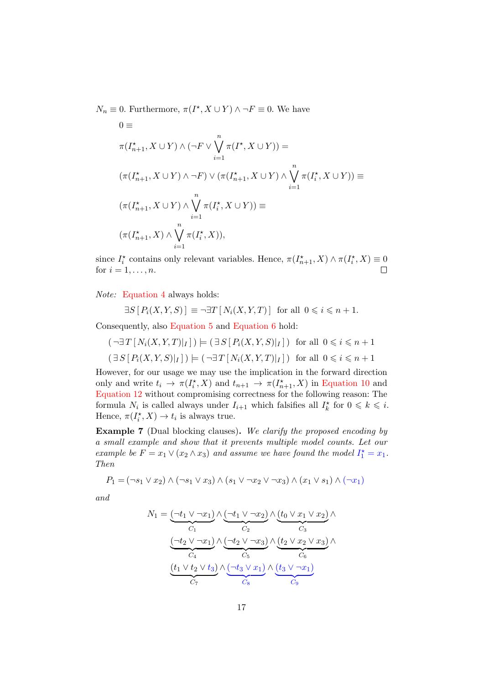$N_n \equiv 0$ . Furthermore,  $\pi(I^*, X \cup Y) \wedge \neg F \equiv 0$ . We have

$$
0 \equiv
$$
  
\n
$$
\pi(I_{n+1}^*, X \cup Y) \wedge (\neg F \vee \bigvee_{i=1}^n \pi(I^*, X \cup Y)) =
$$
  
\n
$$
(\pi(I_{n+1}^*, X \cup Y) \wedge \neg F) \vee (\pi(I_{n+1}^*, X \cup Y) \wedge \bigvee_{i=1}^n \pi(I_i^*, X \cup Y)) \equiv
$$
  
\n
$$
(\pi(I_{n+1}^*, X \cup Y) \wedge \bigvee_{i=1}^n \pi(I_i^*, X \cup Y)) \equiv
$$
  
\n
$$
(\pi(I_{n+1}^*, X) \wedge \bigvee_{i=1}^n \pi(I_i^*, X)),
$$

since  $I_i^*$  contains only relevant variables. Hence,  $\pi(I_{n+1}^*, X) \wedge \pi(I_i^*, X) \equiv 0$ for  $i = 1, \ldots, n$ .  $\Box$ 

Note: [Equation 4](#page-11-6) always holds:

$$
\exists S \, [P_i(X, Y, S)] \equiv \neg \exists T \, [N_i(X, Y, T)] \text{ for all } 0 \leq i \leq n+1.
$$

Consequently, also [Equation 5](#page-11-5) and [Equation 6](#page-11-4) hold:

$$
(\neg \exists T[N_i(X, Y, T)|_I]) \models (\exists S[P_i(X, Y, S)|_I]) \text{ for all } 0 \leq i \leq n+1
$$
  

$$
(\exists S[P_i(X, Y, S)|_I]) \models (\neg \exists T[N_i(X, Y, T)|_I]) \text{ for all } 0 \leq i \leq n+1
$$

However, for our usage we may use the implication in the forward direction only and write  $t_i \to \pi(I_i^*, X)$  and  $t_{n+1} \to \pi(I_{n+1}^*, X)$  in [Equation 10](#page-15-1) and [Equation 12](#page-15-2) without compromising correctness for the following reason: The formula  $N_i$  is called always under  $I_{i+1}$  which falsifies all  $I_k^*$  for  $0 \leq k \leq i$ . Hence,  $\pi(I_i^*, X) \to t_i$  is always true.

Example 7 (Dual blocking clauses). We clarify the proposed encoding by a small example and show that it prevents multiple model counts. Let our example be  $F = x_1 \vee (x_2 \wedge x_3)$  and assume we have found the model  $I_1^* = x_1$ . Then

$$
P_1 = (\neg s_1 \lor x_2) \land (\neg s_1 \lor x_3) \land (s_1 \lor \neg x_2 \lor \neg x_3) \land (x_1 \lor s_1) \land (\neg x_1)
$$

and

$$
N_1 = \underbrace{(\neg t_1 \lor \neg x_1)}_{C_1} \land \underbrace{(\neg t_1 \lor \neg x_2)}_{C_2} \land \underbrace{(t_0 \lor x_1 \lor x_2)}_{C_3} \land \underbrace{(\neg t_2 \lor \neg x_1)}_{C_4} \land \underbrace{(\neg t_2 \lor \neg x_3)}_{C_5} \land \underbrace{(t_2 \lor x_2 \lor x_3)}_{C_6} \land \underbrace{(t_1 \lor t_2 \lor t_3)}_{C_7} \land \underbrace{(\neg t_3 \lor x_1)}_{C_8} \land \underbrace{(t_3 \lor \neg x_1)}_{C_9}
$$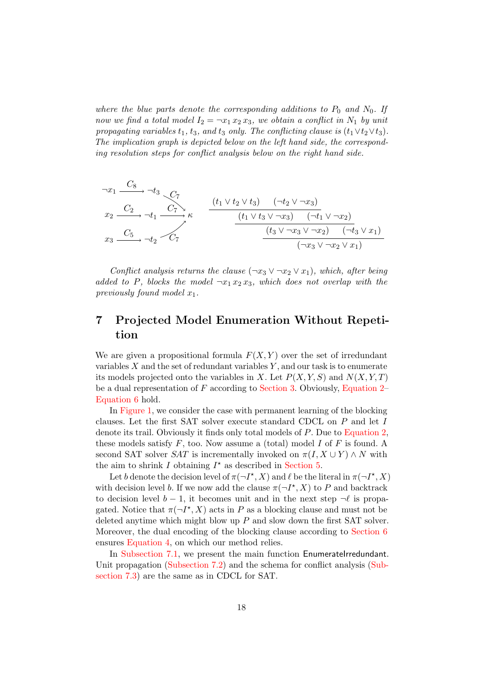where the blue parts denote the corresponding additions to  $P_0$  and  $N_0$ . If now we find a total model  $I_2 = \neg x_1 x_2 x_3$ , we obtain a conflict in  $N_1$  by unit propagating variables  $t_1$ ,  $t_3$ , and  $t_3$  only. The conflicting clause is  $(t_1 \vee t_2 \vee t_3)$ . The implication graph is depicted below on the left hand side, the corresponding resolution steps for conflict analysis below on the right hand side.

$$
\begin{array}{ccc}\n\begin{array}{ccc}\n\begin{array}{ccc}\n\begin{array}{ccc}\n\begin{array}{ccc}\n\begin{array}{ccc}\n\begin{array}{ccc}\n\end{array} & \begin{array}{ccc}\n\end{array} & \begin{array}{ccc}\n\end{array} & \begin{array}{ccc}\n\end{array} & \begin{array}{ccc}\n\end{array} & \begin{array}{ccc}\n\end{array} & \begin{array}{ccc}\n\end{array} & \begin{array}{ccc}\n\end{array} & \begin{array}{ccc}\n\end{array} & \begin{array}{ccc}\n\end{array} & \begin{array}{ccc}\n\end{array} & \begin{array}{ccc}\n\end{array} & \begin{array}{ccc}\n\end{array} & \begin{array}{ccc}\n\end{array} & \begin{array}{ccc}\n\end{array} & \begin{array}{ccc}\n\end{array} & \begin{array}{ccc}\n\end{array} & \begin{array}{ccc}\n\end{array} & \begin{array}{ccc}\n\end{array} & \begin{array}{ccc}\n\end{array} & \begin{array}{ccc}\n\end{array} & \begin{array}{ccc}\n\end{array} & \begin{array}{ccc}\n\end{array} & \begin{array}{ccc}\n\end{array} & \begin{array}{ccc}\n\end{array} & \begin{array}{ccc}\n\end{array} & \begin{array}{ccc}\n\end{array} & \begin{array}{ccc}\n\end{array} & \begin{array}{ccc}\n\end{array} & \begin{array}{ccc}\n\end{array} & \begin{array}{ccc}\n\end{array} & \begin{array}{ccc}\n\end{array} & \begin{array}{ccc}\n\end{array} & \begin{array}{ccc}\n\end{array} & \begin{array}{ccc}\n\end{array} & \begin{array}{ccc}\n\end{array} & \begin{array}{ccc}\n\end{array} & \begin{array}{ccc}\n\end{array} & \begin{array}{ccc}\n\end{array} & \begin{array}{ccc}\n\end{array} & \begin{array} & \begin{array} \\
\end{array} & \begin{array} \\
\end{array} & \begin{array} \\
\end{array} & \begin{array} \\
\end{array} & \begin{array} \\
\end
$$

Conflict analysis returns the clause  $(\neg x_3 \lor \neg x_2 \lor x_1)$ , which, after being added to P, blocks the model  $\neg x_1 x_2 x_3$ , which does not overlap with the previously found model  $x_1$ .

# <span id="page-17-0"></span>7 Projected Model Enumeration Without Repetition

We are given a propositional formula  $F(X, Y)$  over the set of irredundant variables  $X$  and the set of redundant variables  $Y$ , and our task is to enumerate its models projected onto the variables in X. Let  $P(X, Y, S)$  and  $N(X, Y, T)$ be a dual representation of  $F$  according to [Section 3.](#page-6-0) Obviously, [Equation 2–](#page-11-3) [Equation 6](#page-11-4) hold.

In [Figure 1,](#page-18-0) we consider the case with permanent learning of the blocking clauses. Let the first SAT solver execute standard CDCL on P and let I denote its trail. Obviously it finds only total models of P. Due to [Equation 2,](#page-11-3) these models satisfy  $F$ , too. Now assume a (total) model  $I$  of  $F$  is found. A second SAT solver SAT is incrementally invoked on  $\pi(I, X \cup Y) \wedge N$  with the aim to shrink  $I$  obtaining  $I^*$  as described in [Section 5.](#page-12-0)

Let b denote the decision level of  $\pi(\neg I^*, X)$  and  $\ell$  be the literal in  $\pi(\neg I^*, X)$ with decision level b. If we now add the clause  $\pi(\neg I^*, X)$  to P and backtrack to decision level  $b - 1$ , it becomes unit and in the next step  $\neg \ell$  is propagated. Notice that  $\pi(\neg I^*, X)$  acts in P as a blocking clause and must not be deleted anytime which might blow up  $P$  and slow down the first SAT solver. Moreover, the dual encoding of the blocking clause according to [Section 6](#page-14-0) ensures [Equation 4,](#page-11-6) on which our method relies.

In [Subsection 7.1,](#page-19-0) we present the main function EnumerateIrredundant. Unit propagation [\(Subsection 7.2\)](#page-19-1) and the schema for conflict analysis [\(Sub](#page-19-2)[section 7.3\)](#page-19-2) are the same as in CDCL for SAT.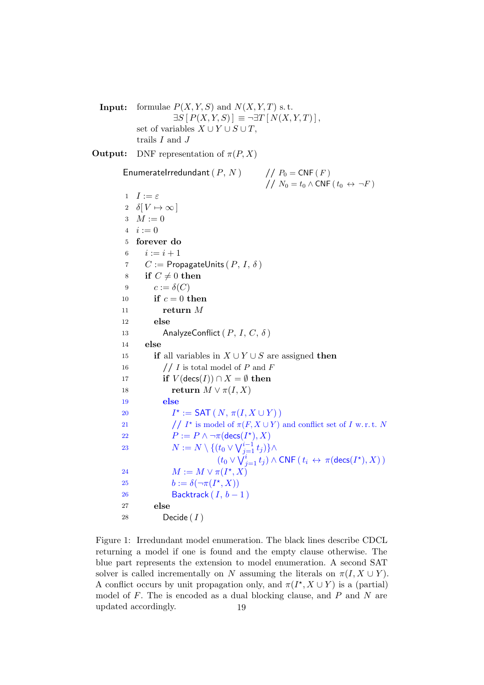**Input:** formulae  $P(X, Y, S)$  and  $N(X, Y, T)$  s.t.  $\exists S \left[ P(X, Y, S) \right] \equiv \neg \exists T \left[ N(X, Y, T) \right],$ set of variables  $X \cup Y \cup S \cup T$ , trails  $I$  and  $J$ **Output:** DNF representation of  $\pi(P, X)$ EnumerateIrredundant  $(P, N)$  //  $P_0 = CNF(F)$ //  $N_0 = t_0 \wedge \text{CNF} (t_0 \leftrightarrow \neg F)$ 1  $I := \varepsilon$ 2  $\delta[V \mapsto \infty]$ 3  $M := 0$  $4 \quad i := 0$ 5 forever do 6  $i := i + 1$ 7  $C :=$  PropagateUnits  $(P, I, \delta)$ 8 if  $C \neq 0$  then 9  $c := \delta(C)$ 10 if  $c = 0$  then 11 return  $M$ 12 else 13 AnalyzeConflict  $(P, I, C, \delta)$ 14 else 15 if all variables in  $X \cup Y \cup S$  are assigned then 16  $// I$  is total model of P and F 17 if  $V(\text{decs}(I)) \cap X = \emptyset$  then 18 **return**  $M \vee \pi(I, X)$ 19 else **20**  $\star := \mathsf{SAT}(N, \pi(I, X \cup Y))$ 21 //  $I^*$  is model of  $\pi(F, X \cup Y)$  and conflict set of I w.r.t. N 22  $P := P \wedge \neg \pi(\text{decs}(I^{\star}), X)$ 23  $N := N \setminus \{(t_0 \vee \bigvee_{j=1}^{i-1} t_j)\} \wedge$  $(t_0 \vee \check{\bigvee}_{j=1}^i t_j) \wedge \mathsf{CNF}\left(\, t_i \,\leftrightarrow\, \pi(\mathsf{desc}(I^\star), X)\,\right)$ 24  $M := M \vee \pi(I^{\star}, X)$ 25  $b := \delta(\neg \pi(I^*, X))$ 26 Backtrack  $(I, b - 1)$ 27 else 28 Decide  $(I)$ 

<span id="page-18-0"></span>Figure 1: Irredundant model enumeration. The black lines describe CDCL returning a model if one is found and the empty clause otherwise. The blue part represents the extension to model enumeration. A second SAT solver is called incrementally on N assuming the literals on  $\pi(I, X \cup Y)$ . A conflict occurs by unit propagation only, and  $\pi(I^*, X \cup Y)$  is a (partial) model of  $F$ . The is encoded as a dual blocking clause, and  $P$  and  $N$  are updated accordingly. 19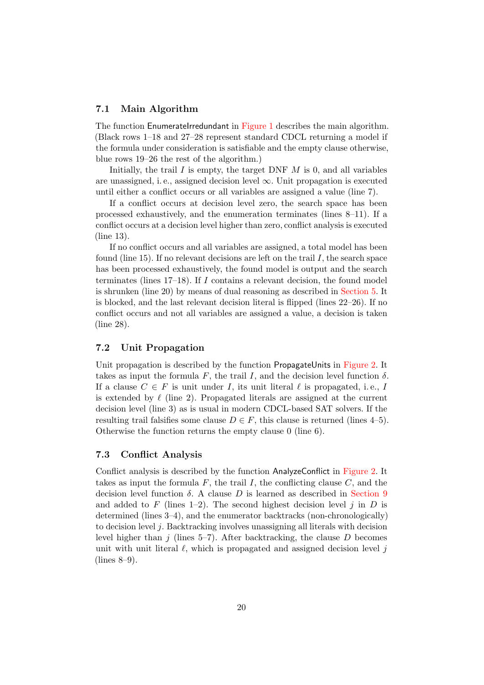## <span id="page-19-0"></span>7.1 Main Algorithm

The function EnumerateIrredundant in [Figure 1](#page-18-0) describes the main algorithm. (Black rows 1–18 and 27–28 represent standard CDCL returning a model if the formula under consideration is satisfiable and the empty clause otherwise, blue rows 19–26 the rest of the algorithm.)

Initially, the trail  $I$  is empty, the target DNF  $M$  is 0, and all variables are unassigned, i.e., assigned decision level  $\infty$ . Unit propagation is executed until either a conflict occurs or all variables are assigned a value (line 7).

If a conflict occurs at decision level zero, the search space has been processed exhaustively, and the enumeration terminates (lines 8–11). If a conflict occurs at a decision level higher than zero, conflict analysis is executed (line 13).

If no conflict occurs and all variables are assigned, a total model has been found (line 15). If no relevant decisions are left on the trail  $I$ , the search space has been processed exhaustively, the found model is output and the search terminates (lines  $17-18$ ). If I contains a relevant decision, the found model is shrunken (line 20) by means of dual reasoning as described in [Section 5.](#page-12-0) It is blocked, and the last relevant decision literal is flipped (lines 22–26). If no conflict occurs and not all variables are assigned a value, a decision is taken (line 28).

## <span id="page-19-1"></span>7.2 Unit Propagation

Unit propagation is described by the function PropagateUnits in [Figure 2.](#page-20-0) It takes as input the formula F, the trail I, and the decision level function  $\delta$ . If a clause  $C \in F$  is unit under I, its unit literal  $\ell$  is propagated, i.e., I is extended by  $\ell$  (line 2). Propagated literals are assigned at the current decision level (line 3) as is usual in modern CDCL-based SAT solvers. If the resulting trail falsifies some clause  $D \in F$ , this clause is returned (lines 4–5). Otherwise the function returns the empty clause 0 (line 6).

## <span id="page-19-2"></span>7.3 Conflict Analysis

Conflict analysis is described by the function AnalyzeConflict in [Figure 2.](#page-20-0) It takes as input the formula  $F$ , the trail  $I$ , the conflicting clause  $C$ , and the decision level function  $\delta$ . A clause D is learned as described in [Section 9](#page-35-0) and added to F (lines 1–2). The second highest decision level j in  $D$  is determined (lines 3–4), and the enumerator backtracks (non-chronologically) to decision level  $j$ . Backtracking involves unassigning all literals with decision level higher than  $j$  (lines 5–7). After backtracking, the clause  $D$  becomes unit with unit literal  $\ell$ , which is propagated and assigned decision level j (lines 8–9).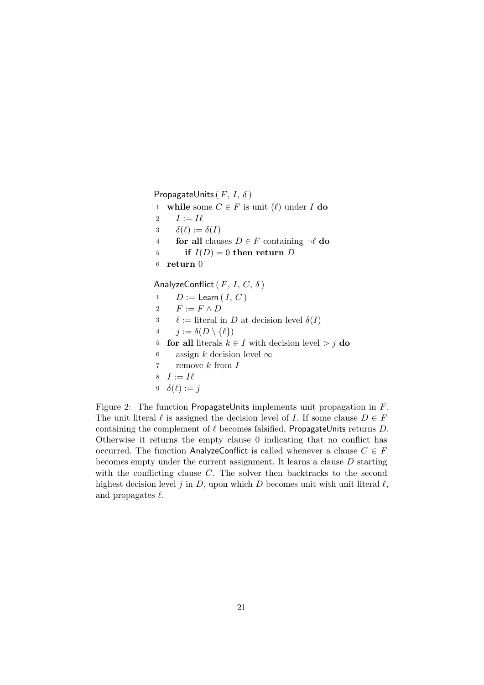<span id="page-20-0"></span>PropagateUnits ( $F, I, \delta$ ) 1 while some  $C \in F$  is unit  $(\ell)$  under I do 2  $I := I\ell$ 3  $\delta(\ell) := \delta(I)$ 4 for all clauses  $D \in F$  containing  $\neg \ell$  do 5 if  $I(D) = 0$  then return D 6 return 0 AnalyzeConflict ( $F, I, C, \delta$ ) 1  $D := \text{Learn}(I, C)$ 2  $F := F \wedge D$ 3  $\ell :=$  literal in D at decision level  $\delta(I)$ 4  $j := \delta(D \setminus \{\ell\})$ 5 **for all** literals  $k \in I$  with decision level > j do 6 assign k decision level  $\infty$ 7 remove k from I 8  $I := I\ell$ 9  $\delta(\ell) := j$ 

Figure 2: The function PropagateUnits implements unit propagation in F. The unit literal  $\ell$  is assigned the decision level of I. If some clause  $D \in F$ containing the complement of  $\ell$  becomes falsified, PropagateUnits returns D. Otherwise it returns the empty clause 0 indicating that no conflict has occurred. The function AnalyzeConflict is called whenever a clause  $C \in F$ becomes empty under the current assignment. It learns a clause D starting with the conflicting clause  $C$ . The solver then backtracks to the second highest decision level j in D, upon which D becomes unit with unit literal  $\ell$ , and propagates  $\ell$ .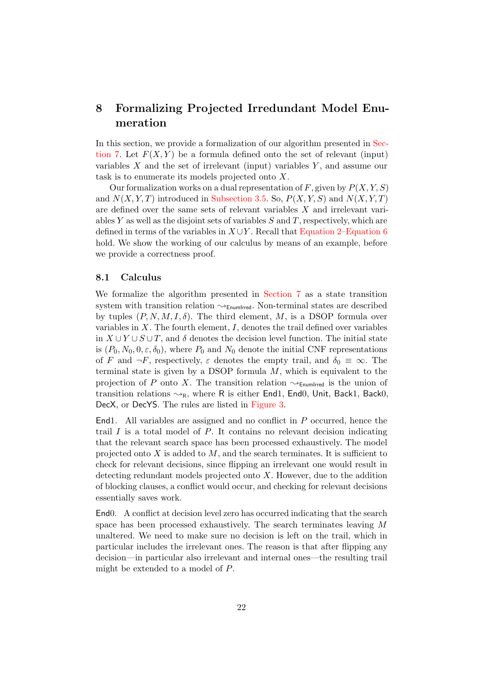# <span id="page-21-0"></span>8 Formalizing Projected Irredundant Model Enumeration

In this section, we provide a formalization of our algorithm presented in [Sec](#page-17-0)[tion 7.](#page-17-0) Let  $F(X, Y)$  be a formula defined onto the set of relevant (input) variables  $X$  and the set of irrelevant (input) variables  $Y$ , and assume our task is to enumerate its models projected onto X.

Our formalization works on a dual representation of  $F$ , given by  $P(X, Y, S)$ and  $N(X, Y, T)$  introduced in [Subsection 3.5.](#page-11-7) So,  $P(X, Y, S)$  and  $N(X, Y, T)$ are defined over the same sets of relevant variables X and irrelevant variables Y as well as the disjoint sets of variables  $S$  and  $T$ , respectively, which are defined in terms of the variables in  $X \cup Y$ . Recall that [Equation 2](#page-11-3)[–Equation 6](#page-11-4) hold. We show the working of our calculus by means of an example, before we provide a correctness proof.

#### <span id="page-21-1"></span>8.1 Calculus

We formalize the algorithm presented in [Section 7](#page-17-0) as a state transition system with transition relation  $\rightsquigarrow_{\text{EnumIrred}}$ . Non-terminal states are described by tuples  $(P, N, M, I, \delta)$ . The third element, M, is a DSOP formula over variables in  $X$ . The fourth element,  $I$ , denotes the trail defined over variables in  $X \cup Y \cup S \cup T$ , and  $\delta$  denotes the decision level function. The initial state is  $(P_0, N_0, 0, \varepsilon, \delta_0)$ , where  $P_0$  and  $N_0$  denote the initial CNF representations of F and  $\neg F$ , respectively,  $\varepsilon$  denotes the empty trail, and  $\delta_0 \equiv \infty$ . The terminal state is given by a DSOP formula  $M$ , which is equivalent to the projection of P onto X. The transition relation  $\rightsquigarrow_{\text{EnumIrred}}$  is the union of transition relations  $\rightsquigarrow_R$ , where R is either End1, End0, Unit, Back1, Back0, DecX, or DecYS. The rules are listed in [Figure 3.](#page-22-0)

End1. All variables are assigned and no conflict in P occurred, hence the trail  $I$  is a total model of  $P$ . It contains no relevant decision indicating that the relevant search space has been processed exhaustively. The model projected onto  $X$  is added to  $M$ , and the search terminates. It is sufficient to check for relevant decisions, since flipping an irrelevant one would result in detecting redundant models projected onto  $X$ . However, due to the addition of blocking clauses, a conflict would occur, and checking for relevant decisions essentially saves work.

End0. A conflict at decision level zero has occurred indicating that the search space has been processed exhaustively. The search terminates leaving M unaltered. We need to make sure no decision is left on the trail, which in particular includes the irrelevant ones. The reason is that after flipping any decision—in particular also irrelevant and internal ones—the resulting trail might be extended to a model of P.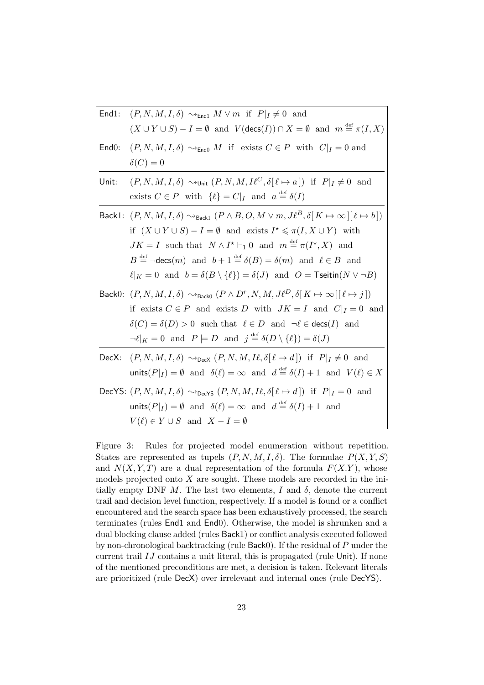| End1: | $(P, N, M, I, \delta) \rightsquigarrow_{\text{End}1} M \vee m$ if $P _I \neq 0$ and                                                                                                                                                                                                                                                                                                                                                                                                                                                                                            |
|-------|--------------------------------------------------------------------------------------------------------------------------------------------------------------------------------------------------------------------------------------------------------------------------------------------------------------------------------------------------------------------------------------------------------------------------------------------------------------------------------------------------------------------------------------------------------------------------------|
|       | $(X \cup Y \cup S) - I = \emptyset$ and $V(\text{desc}(I)) \cap X = \emptyset$ and $m \stackrel{\text{def}}{=} \pi(I, X)$                                                                                                                                                                                                                                                                                                                                                                                                                                                      |
| End0: | $(P, N, M, I, \delta) \rightsquigarrow_{\text{End}0} M$ if exists $C \in P$ with $C _{I} = 0$ and                                                                                                                                                                                                                                                                                                                                                                                                                                                                              |
|       | $\delta(C)=0$                                                                                                                                                                                                                                                                                                                                                                                                                                                                                                                                                                  |
| Unit: | $(P, N, M, I, \delta) \rightsquigarrow_{\text{Unit}} (P, N, M, I\ell^C, \delta[\ell \mapsto a]) \text{ if } P _I \neq 0 \text{ and }$<br>exists $C \in P$ with $\{\ell\} = C _{I}$ and $a \stackrel{\text{def}}{=} \delta(I)$                                                                                                                                                                                                                                                                                                                                                  |
|       | Back1: $(P, N, M, I, \delta) \rightsquigarrow_{\text{Back1}} (P \wedge B, O, M \vee m, J\ell^B, \delta   K \mapsto \infty   [\ell \mapsto b])$<br>if $(X \cup Y \cup S) - I = \emptyset$ and exists $I^* \leq \pi(I, X \cup Y)$ with<br>$JK = I$ such that $N \wedge I^* \vdash_1 0$ and $m \stackrel{\text{def}}{=} \pi(I^*, X)$ and<br>$B \stackrel{\text{def}}{=} \neg \text{decs}(m)$ and $b+1 \stackrel{\text{def}}{=} \delta(B) = \delta(m)$ and $\ell \in B$ and<br>$\ell _K = 0$ and $b = \delta(B \setminus {\ell}) = \delta(J)$ and $O =$ Tseitin( $N \vee \neg B$ ) |
|       | Back0: $(P, N, M, I, \delta) \rightsquigarrow_{\text{Back0}} (P \wedge D^r, N, M, J\ell^D, \delta   K \mapsto \infty   [\ell \mapsto j])$<br>if exists $C \in P$ and exists D with $JK = I$ and $C _I = 0$ and<br>$\delta(C) = \delta(D) > 0$ such that $\ell \in D$ and $\neg \ell \in \text{desc}(I)$ and<br>$\neg \ell _K = 0$ and $P \models D$ and $j \stackrel{\text{def}}{=} \delta(D \setminus {\ell}) = \delta(J)$                                                                                                                                                    |
|       | DecX: $(P, N, M, I, \delta) \sim_{\text{DecX}} (P, N, M, I\ell, \delta[\ell \mapsto d])$ if $P _I \neq 0$ and<br>units( $P _I$ ) = $\emptyset$ and $\delta(\ell) = \infty$ and $d \stackrel{\text{def}}{=} \delta(I) + 1$ and $V(\ell) \in X$                                                                                                                                                                                                                                                                                                                                  |
|       | DecYS: $(P, N, M, I, \delta) \sim_{\text{DecYS}} (P, N, M, I\ell, \delta[\ell \mapsto d])$ if $P _{I} = 0$ and<br>units( $P _I$ ) = $\emptyset$ and $\delta(\ell) = \infty$ and $d \stackrel{\text{def}}{=} \delta(I) + 1$ and<br>$V(\ell) \in Y \cup S$ and $X - I = \emptyset$                                                                                                                                                                                                                                                                                               |

<span id="page-22-0"></span>Figure 3: Rules for projected model enumeration without repetition. States are represented as tupels  $(P, N, M, I, \delta)$ . The formulae  $P(X, Y, S)$ and  $N(X, Y, T)$  are a dual representation of the formula  $F(X, Y)$ , whose models projected onto  $X$  are sought. These models are recorded in the initially empty DNF M. The last two elements, I and  $\delta$ , denote the current trail and decision level function, respectively. If a model is found or a conflict encountered and the search space has been exhaustively processed, the search terminates (rules End1 and End0). Otherwise, the model is shrunken and a dual blocking clause added (rules Back1) or conflict analysis executed followed by non-chronological backtracking (rule Back0). If the residual of P under the current trail IJ contains a unit literal, this is propagated (rule Unit). If none of the mentioned preconditions are met, a decision is taken. Relevant literals are prioritized (rule DecX) over irrelevant and internal ones (rule DecYS).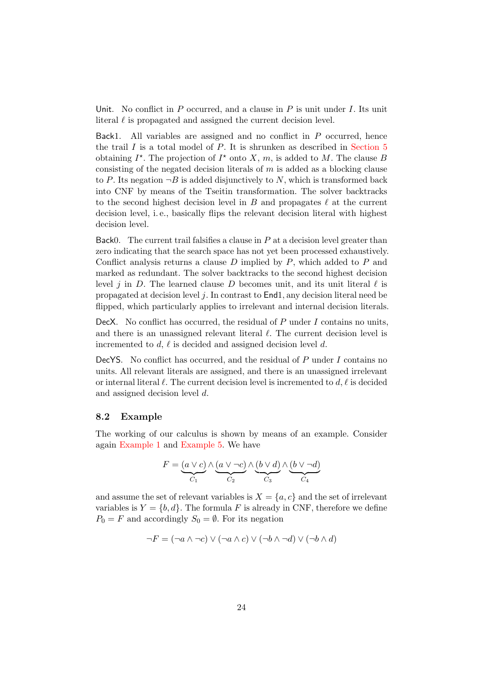Unit. No conflict in  $P$  occurred, and a clause in  $P$  is unit under  $I$ . Its unit literal  $\ell$  is propagated and assigned the current decision level.

Back1. All variables are assigned and no conflict in  $P$  occurred, hence the trail  $I$  is a total model of  $P$ . It is shrunken as described in [Section 5](#page-12-0) obtaining  $I^*$ . The projection of  $I^*$  onto X, m, is added to M. The clause B consisting of the negated decision literals of  $m$  is added as a blocking clause to P. Its negation  $\neg B$  is added disjunctively to N, which is transformed back into CNF by means of the Tseitin transformation. The solver backtracks to the second highest decision level in  $B$  and propagates  $\ell$  at the current decision level, i. e., basically flips the relevant decision literal with highest decision level.

Back0. The current trail falsifies a clause in  $P$  at a decision level greater than zero indicating that the search space has not yet been processed exhaustively. Conflict analysis returns a clause  $D$  implied by  $P$ , which added to  $P$  and marked as redundant. The solver backtracks to the second highest decision level j in D. The learned clause D becomes unit, and its unit literal  $\ell$  is propagated at decision level j. In contrast to End1, any decision literal need be flipped, which particularly applies to irrelevant and internal decision literals.

DecX. No conflict has occurred, the residual of  $P$  under  $I$  contains no units, and there is an unassigned relevant literal  $\ell$ . The current decision level is incremented to d,  $\ell$  is decided and assigned decision level d.

DecYS. No conflict has occurred, and the residual of  $P$  under  $I$  contains no units. All relevant literals are assigned, and there is an unassigned irrelevant or internal literal  $\ell$ . The current decision level is incremented to  $d, \ell$  is decided and assigned decision level d.

## <span id="page-23-0"></span>8.2 Example

The working of our calculus is shown by means of an example. Consider again [Example 1](#page-1-3) and [Example 5.](#page-10-2) We have

$$
F = \underbrace{(a \lor c)}_{C_1} \land \underbrace{(a \lor \neg c)}_{C_2} \land \underbrace{(b \lor d)}_{C_3} \land \underbrace{(b \lor \neg d)}_{C_4}
$$

and assume the set of relevant variables is  $X = \{a, c\}$  and the set of irrelevant variables is  $Y = \{b, d\}$ . The formula F is already in CNF, therefore we define  $P_0 = F$  and accordingly  $S_0 = \emptyset$ . For its negation

$$
\neg F = (\neg a \land \neg c) \lor (\neg a \land c) \lor (\neg b \land \neg d) \lor (\neg b \land d)
$$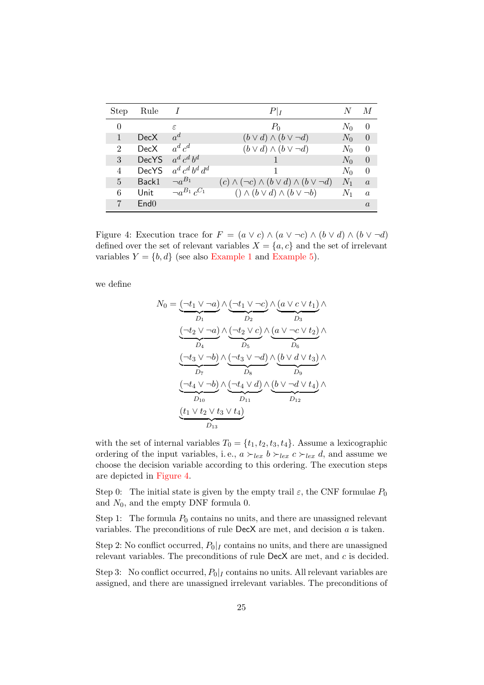| <b>Step</b>    | Rule             |                       | $P _I$                                                         | N     | M              |
|----------------|------------------|-----------------------|----------------------------------------------------------------|-------|----------------|
| $\Omega$       |                  | $\epsilon$            | $P_0$                                                          | $N_0$ | $\Omega$       |
|                | DecX             | $a^d$                 | $(b \vee d) \wedge (b \vee \neg d)$                            | $N_0$ | $\Omega$       |
| 2              | DecX             | $a^d c^d$             | $(b \vee d) \wedge (b \vee \neg d)$                            | $N_0$ | $\theta$       |
| 3              | <b>DecYS</b>     | $a^d c^d b^d$         |                                                                | $N_0$ | $\theta$       |
| 4              | <b>DecYS</b>     | $a^d c^d b^d d^d$     |                                                                | $N_0$ | $\Omega$       |
| $\overline{5}$ | Back1            | $\neg a^{B_1}$        | $(c) \wedge (\neg c) \wedge (b \vee d) \wedge (b \vee \neg d)$ | $N_1$ | $\alpha$       |
| 6              | Unit             | $\neg a^{B_1}c^{C_1}$ | $() \wedge (b \vee d) \wedge (b \vee \neg b)$                  | $N_1$ | $\mathfrak{a}$ |
|                | End <sub>0</sub> |                       |                                                                |       | $\alpha$       |

<span id="page-24-0"></span>Figure 4: Execution trace for  $F = (a \lor c) \land (a \lor \neg c) \land (b \lor d) \land (b \lor \neg d)$ defined over the set of relevant variables  $X = \{a, c\}$  and the set of irrelevant variables  $Y = \{b, d\}$  (see also [Example 1](#page-1-3) and [Example 5\)](#page-10-2).

we define

$$
N_0 = \underbrace{(\neg t_1 \lor \neg a)}_{D_1} \land \underbrace{(\neg t_1 \lor \neg c)}_{D_2} \land \underbrace{(a \lor c \lor t_1)}_{D_3} \land \underbrace{(\neg t_2 \lor \neg a)}_{D_5} \land \underbrace{(a \lor c \lor t_1)}_{D_6} \land \underbrace{(\neg t_2 \lor \neg a)}_{D_5} \land \underbrace{(a \lor \neg c \lor t_2)}_{D_6} \land \underbrace{(\neg t_3 \lor \neg b)}_{D_7} \land \underbrace{(\neg t_3 \lor \neg d)}_{D_8} \land \underbrace{(b \lor d \lor t_3)}_{D_9} \land \underbrace{(\neg t_4 \lor \neg b)}_{D_{10}} \land \underbrace{(b \lor \neg d \lor t_4)}_{D_{12}} \land \underbrace{(t_1 \lor t_2 \lor t_3 \lor t_4)}_{D_{13}}
$$

with the set of internal variables  $T_0 = \{t_1, t_2, t_3, t_4\}$ . Assume a lexicographic ordering of the input variables, i.e.,  $a \succ_{lex} b \succ_{lex} c \succ_{lex} d$ , and assume we choose the decision variable according to this ordering. The execution steps are depicted in [Figure 4.](#page-24-0)

Step 0: The initial state is given by the empty trail  $\varepsilon$ , the CNF formulae  $P_0$ and  $N_0$ , and the empty DNF formula 0.

Step 1: The formula  $P_0$  contains no units, and there are unassigned relevant variables. The preconditions of rule  $DecX$  are met, and decision  $a$  is taken.

Step 2: No conflict occurred,  $P_0|_I$  contains no units, and there are unassigned relevant variables. The preconditions of rule DecX are met, and c is decided.

Step 3: No conflict occurred,  $P_0|_I$  contains no units. All relevant variables are assigned, and there are unassigned irrelevant variables. The preconditions of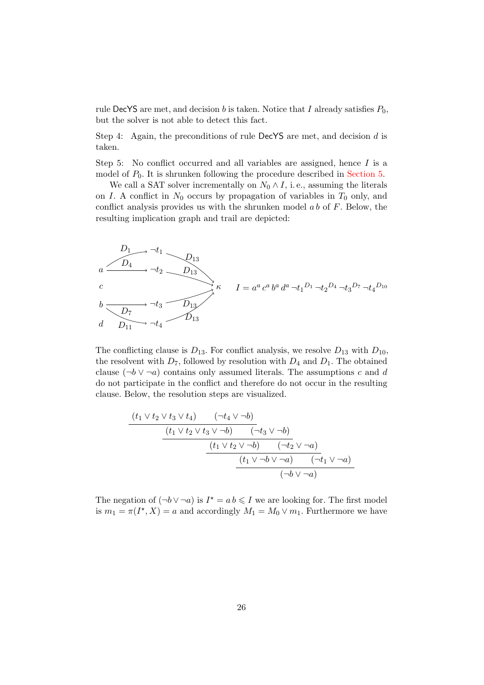rule DecYS are met, and decision b is taken. Notice that I already satisfies  $P_0$ , but the solver is not able to detect this fact.

Step 4: Again, the preconditions of rule DecYS are met, and decision  $d$  is taken.

Step 5: No conflict occurred and all variables are assigned, hence I is a model of  $P_0$ . It is shrunken following the procedure described in [Section 5.](#page-12-0)

We call a SAT solver incrementally on  $N_0 \wedge I$ , i.e., assuming the literals on I. A conflict in  $N_0$  occurs by propagation of variables in  $T_0$  only, and conflict analysis provides us with the shrunken model  $ab$  of  $F$ . Below, the resulting implication graph and trail are depicted:

$$
D_1 \longrightarrow \neg t_1
$$
\n
$$
D_{13}
$$
\n
$$
C
$$
\n
$$
D_2
$$
\n
$$
C
$$
\n
$$
D_{13}
$$
\n
$$
C
$$
\n
$$
D_{12}
$$
\n
$$
D_{13}
$$
\n
$$
D_{12}
$$
\n
$$
D_{13}
$$
\n
$$
D_{11}
$$
\n
$$
D_{12}
$$
\n
$$
D_{13}
$$
\n
$$
D_{13}
$$

The conflicting clause is  $D_{13}$ . For conflict analysis, we resolve  $D_{13}$  with  $D_{10}$ , the resolvent with  $D_7$ , followed by resolution with  $D_4$  and  $D_1$ . The obtained clause  $(\neg b \lor \neg a)$  contains only assumed literals. The assumptions c and d do not participate in the conflict and therefore do not occur in the resulting clause. Below, the resolution steps are visualized.

$$
\frac{(t_1 \vee t_2 \vee t_3 \vee t_4) \qquad (\neg t_4 \vee \neg b)}{(t_1 \vee t_2 \vee t_3 \vee \neg b) \qquad (\neg t_3 \vee \neg b)} \qquad (t_1 \vee t_2 \vee \neg b)}
$$
\n
$$
\frac{(t_1 \vee t_2 \vee \neg b) \qquad (\neg t_2 \vee \neg a)}{(t_1 \vee \neg b) \vee \neg a) \qquad (\neg t_1 \vee \neg a)} \qquad (t_1 \vee \neg b \vee \neg a)
$$

The negation of  $(\neg b \lor \neg a)$  is  $I^* = a b \leq I$  we are looking for. The first model is  $m_1 = \pi(I^*, X) = a$  and accordingly  $M_1 = M_0 \vee m_1$ . Furthermore we have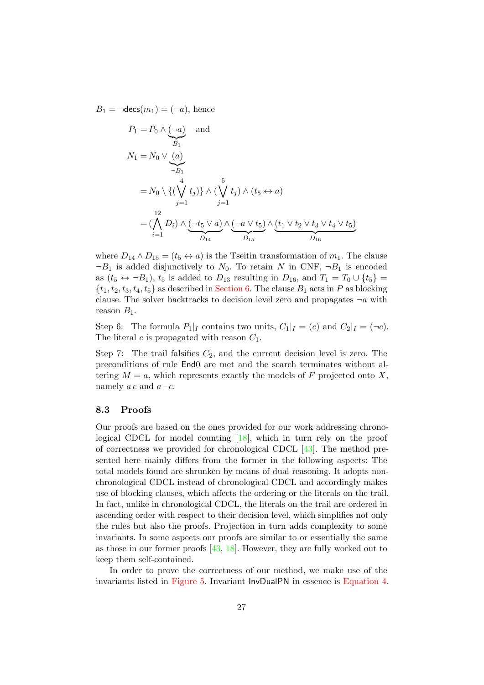$B_1 = \neg \text{decs}(m_1) = (\neg a)$ , hence

$$
P_1 = P_0 \wedge \underbrace{(\neg a)}_{B_1} \quad \text{and}
$$
\n
$$
N_1 = N_0 \vee \underbrace{(a)}_{\neg B_1}
$$
\n
$$
= N_0 \setminus \{(\bigvee_{j=1}^4 t_j)\} \wedge (\bigvee_{j=1}^5 t_j) \wedge (t_5 \leftrightarrow a)
$$
\n
$$
= (\bigwedge_{i=1}^{12} D_i) \wedge (\bigvee_{j=1}^{4} \bigvee_{D_{14}} \bigvee_{D_{15}} \bigvee (t_1 \vee t_2 \vee t_3 \vee t_4 \vee t_5)
$$

where  $D_{14} \wedge D_{15} = (t_5 \leftrightarrow a)$  is the Tseitin transformation of  $m_1$ . The clause  $\neg B_1$  is added disjunctively to  $N_0$ . To retain N in CNF,  $\neg B_1$  is encoded as  $(t_5 \leftrightarrow \neg B_1)$ ,  $t_5$  is added to  $D_{13}$  resulting in  $D_{16}$ , and  $T_1 = T_0 \cup \{t_5\}$  $\{t_1, t_2, t_3, t_4, t_5\}$  as described in [Section 6.](#page-14-0) The clause  $B_1$  acts in P as blocking clause. The solver backtracks to decision level zero and propagates  $\neg a$  with reason  $B_1$ .

Step 6: The formula  $P_1|_I$  contains two units,  $C_1|_I = (c)$  and  $C_2|_I = (\neg c)$ . The literal c is propagated with reason  $C_1$ .

Step 7: The trail falsifies  $C_2$ , and the current decision level is zero. The preconditions of rule End0 are met and the search terminates without altering  $M = a$ , which represents exactly the models of F projected onto X, namely  $ac$  and  $a \neg c$ .

#### 8.3 Proofs

Our proofs are based on the ones provided for our work addressing chronological CDCL for model counting [\[18\]](#page-44-1), which in turn rely on the proof of correctness we provided for chronological CDCL [\[43\]](#page-45-12). The method presented here mainly differs from the former in the following aspects: The total models found are shrunken by means of dual reasoning. It adopts nonchronological CDCL instead of chronological CDCL and accordingly makes use of blocking clauses, which affects the ordering or the literals on the trail. In fact, unlike in chronological CDCL, the literals on the trail are ordered in ascending order with respect to their decision level, which simplifies not only the rules but also the proofs. Projection in turn adds complexity to some invariants. In some aspects our proofs are similar to or essentially the same as those in our former proofs  $[43, 18]$  $[43, 18]$  $[43, 18]$ . However, they are fully worked out to keep them self-contained.

In order to prove the correctness of our method, we make use of the invariants listed in [Figure 5.](#page-27-0) Invariant InvDualPN in essence is [Equation 4.](#page-11-6)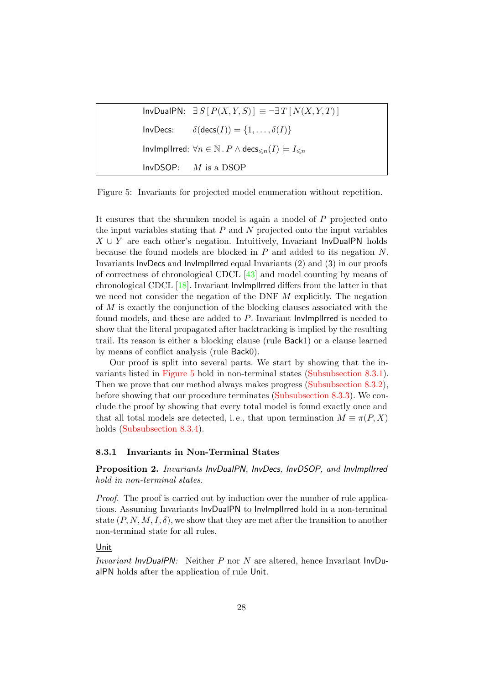| $InvDualPN: \exists S [P(X,Y,S)] \equiv \neg \exists T [N(X,Y,T)]$                               |
|--------------------------------------------------------------------------------------------------|
| InvDecs: $\delta(\text{decs}(I)) = \{1, , \delta(I)\}\$                                          |
| Invimpliered: $\forall n \in \mathbb{N}$ . $P \wedge \text{decs}_{\leq n}(I) \models I_{\leq n}$ |
| $InvDSOP:$ <i>M</i> is a DSOP                                                                    |

<span id="page-27-0"></span>Figure 5: Invariants for projected model enumeration without repetition.

It ensures that the shrunken model is again a model of P projected onto the input variables stating that  $P$  and  $N$  projected onto the input variables  $X \cup Y$  are each other's negation. Intuitively, Invariant InvDualPN holds because the found models are blocked in  $P$  and added to its negation  $N$ . Invariants InvDecs and InvImplIrred equal Invariants (2) and (3) in our proofs of correctness of chronological CDCL [\[43\]](#page-45-12) and model counting by means of chronological CDCL [\[18\]](#page-44-1). Invariant InvImplIrred differs from the latter in that we need not consider the negation of the DNF  $M$  explicitly. The negation of M is exactly the conjunction of the blocking clauses associated with the found models, and these are added to P. Invariant InvImplIrred is needed to show that the literal propagated after backtracking is implied by the resulting trail. Its reason is either a blocking clause (rule Back1) or a clause learned by means of conflict analysis (rule Back0).

Our proof is split into several parts. We start by showing that the invariants listed in [Figure 5](#page-27-0) hold in non-terminal states [\(Subsubsection 8.3.1\)](#page-27-1). Then we prove that our method always makes progress [\(Subsubsection 8.3.2\)](#page-30-0), before showing that our procedure terminates [\(Subsubsection 8.3.3\)](#page-31-0). We conclude the proof by showing that every total model is found exactly once and that all total models are detected, i.e., that upon termination  $M \equiv \pi(P, X)$ holds [\(Subsubsection 8.3.4\)](#page-33-0).

#### <span id="page-27-1"></span>8.3.1 Invariants in Non-Terminal States

Proposition 2. Invariants InvDualPN, InvDecs, InvDSOP, and InvImplIrred hold in non-terminal states.

Proof. The proof is carried out by induction over the number of rule applications. Assuming Invariants InvDualPN to InvImplIrred hold in a non-terminal state  $(P, N, M, I, \delta)$ , we show that they are met after the transition to another non-terminal state for all rules.

## Unit

Invariant InvDualPN: Neither P nor N are altered, hence Invariant InvDualPN holds after the application of rule Unit.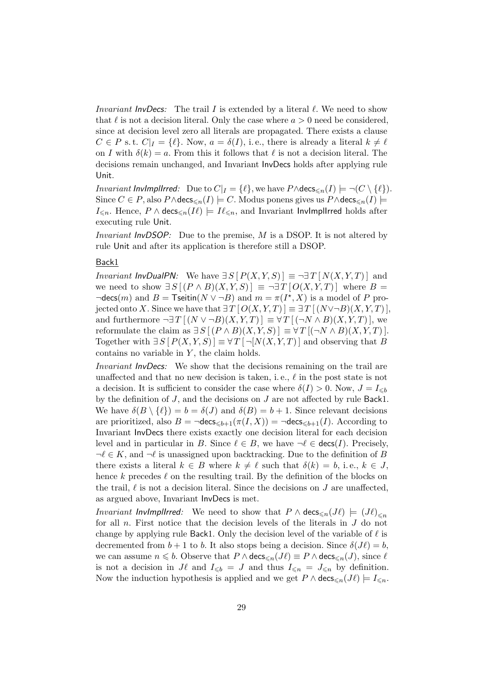*Invariant InvDecs:* The trail I is extended by a literal  $\ell$ . We need to show that  $\ell$  is not a decision literal. Only the case where  $a > 0$  need be considered, since at decision level zero all literals are propagated. There exists a clause  $C \in P$  s. t.  $C|_{I} = \{\ell\}$ . Now,  $a = \delta(I)$ , i.e., there is already a literal  $k \neq \ell$ on I with  $\delta(k) = a$ . From this it follows that  $\ell$  is not a decision literal. The decisions remain unchanged, and Invariant InvDecs holds after applying rule Unit.

*Invariant InvImplIrred:* Due to  $C|_I = \{ \ell \}$ , we have  $P \wedge \text{decs}_{\leq n}(I) \models \neg (C \setminus \{ \ell \}).$ Since  $C \in P$ , also  $P \wedge \text{decs}_{\leq n}(I) \models C$ . Modus ponens gives us  $P \wedge \text{decs}_{\leq n}(I) \models$  $I_{\leq n}$ . Hence,  $P \wedge \text{decs}_{\leq n}(I\ell) \models I\ell_{\leq n}$ , and Invariant InvImplIrred holds after executing rule Unit.

*Invariant InvDSOP:* Due to the premise,  $M$  is a DSOP. It is not altered by rule Unit and after its application is therefore still a DSOP.

## Back1

*Invariant InvDualPN:* We have  $\exists S [ P(X, Y, S) ] \equiv \neg \exists T [ N(X, Y, T) ]$  and we need to show  $\exists S[(P \wedge B)(X,Y,S)] \equiv \neg \exists T [O(X,Y,T)]$  where  $B =$  $\neg \text{desc}(m)$  and  $B = \text{Tsetin}(N \lor \neg B)$  and  $m = \pi(I^*, X)$  is a model of P projected onto X. Since we have that  $\exists T [O(X, Y, T)] \equiv \exists T [(N \vee \neg B)(X, Y, T)].$ and furthermore  $\neg \exists T \left[ (N \lor \neg B)(X, Y, T) \right] \equiv \forall T \left[ (\neg N \land B)(X, Y, T) \right],$  we reformulate the claim as  $\exists S [(P \wedge B)(X,Y,S)] \equiv \forall T [(\neg N \wedge B)(X,Y,T)].$ Together with  $\exists S [ P(X, Y, S) ] \equiv \forall T [\neg N(X, Y, T)]$  and observing that B contains no variable in  $Y$ , the claim holds.

Invariant InvDecs: We show that the decisions remaining on the trail are unaffected and that no new decision is taken, i.e.,  $\ell$  in the post state is not a decision. It is sufficient to consider the case where  $\delta(I) > 0$ . Now,  $J = I_{\leq b}$ by the definition of  $J$ , and the decisions on  $J$  are not affected by rule Back1. We have  $\delta(B \setminus \{\ell\}) = b = \delta(J)$  and  $\delta(B) = b + 1$ . Since relevant decisions are prioritized, also  $B = \neg \text{decs}_{\leq b+1}(\pi(I, X)) = \neg \text{decs}_{\leq b+1}(I)$ . According to Invariant InvDecs there exists exactly one decision literal for each decision level and in particular in B. Since  $\ell \in B$ , we have  $\neg \ell \in \text{desc}(I)$ . Precisely,  $\neg \ell \in K$ , and  $\neg \ell$  is unassigned upon backtracking. Due to the definition of B there exists a literal  $k \in B$  where  $k \neq \ell$  such that  $\delta(k) = b$ , i.e.,  $k \in J$ , hence k precedes  $\ell$  on the resulting trail. By the definition of the blocks on the trail,  $\ell$  is not a decision literal. Since the decisions on  $J$  are unaffected, as argued above, Invariant InvDecs is met.

*Invariant InvImplIrred:* We need to show that  $P \wedge \text{decs}_{\leq n}(J\ell) = (J\ell)_{\leq n}$ for all n. First notice that the decision levels of the literals in J do not change by applying rule Back1. Only the decision level of the variable of  $\ell$  is decremented from  $b + 1$  to b. It also stops being a decision. Since  $\delta(J\ell) = b$ , we can assume  $n \leq b$ . Observe that  $P \wedge \text{decs}_{\leq n}(J\ell) \equiv P \wedge \text{decs}_{\leq n}(J)$ , since  $\ell$ is not a decision in  $J\ell$  and  $I_{\leqslant b} = J$  and thus  $I_{\leqslant n} = J_{\leqslant n}$  by definition. Now the induction hypothesis is applied and we get  $P \wedge \text{decs}_{\leq n}(J\ell) \models I_{\leq n}$ .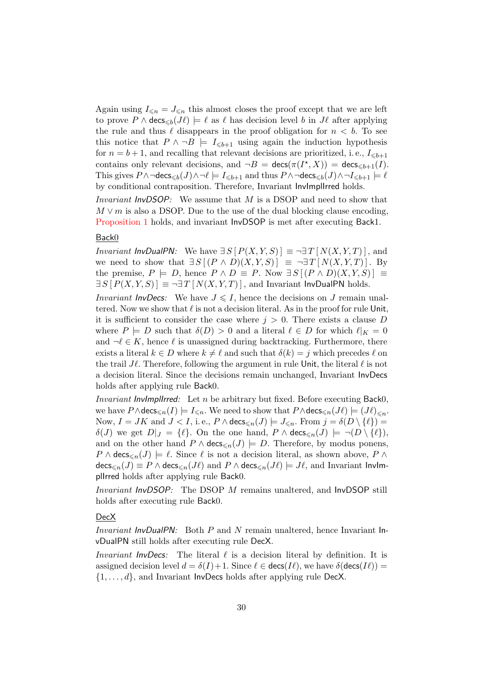Again using  $I_{\leq n} = J_{\leq n}$  this almost closes the proof except that we are left to prove  $P \wedge \text{desc}_{\leq b}(J\ell) \models \ell$  as  $\ell$  has decision level b in  $J\ell$  after applying the rule and thus  $\ell$  disappears in the proof obligation for  $n < b$ . To see this notice that  $P \wedge \neg B \models I_{\leq b+1}$  using again the induction hypothesis for  $n = b + 1$ , and recalling that relevant decisions are prioritized, i.e.,  $I_{\leq b+1}$ contains only relevant decisions, and  $\neg B = \text{desc}(\pi(I^*, X)) = \text{desc}_{\leq b+1}(I)$ . This gives  $P \wedge \neg \text{decs}_{\leq b}(J) \wedge \neg \ell \models I_{\leq b+1}$  and thus  $P \wedge \neg \text{decs}_{\leq b}(J) \wedge \neg I_{\leq b+1} \models \ell$ by conditional contraposition. Therefore, Invariant InvImplIrred holds.

Invariant InvDSOP: We assume that M is a DSOP and need to show that  $M \vee m$  is also a DSOP. Due to the use of the dual blocking clause encoding, [Proposition 1](#page-15-3) holds, and invariant InvDSOP is met after executing Back1.

#### Back0

*Invariant InvDualPN:* We have  $\exists S [P(X, Y, S)] \equiv \neg \exists T [N(X, Y, T)]$ , and we need to show that  $\exists S [(P \wedge D)(X,Y,S)] \equiv \neg \exists T [N(X,Y,T)]$ . By the premise,  $P \models D$ , hence  $P \land D \equiv P$ . Now  $\exists S [(P \land D)(X, Y, S)] \equiv$  $\exists S [P(X, Y, S)] \equiv \exists T [N(X, Y, T)]$ , and Invariant InvDualPN holds.

*Invariant InvDecs:* We have  $J \le I$ , hence the decisions on J remain unaltered. Now we show that  $\ell$  is not a decision literal. As in the proof for rule Unit, it is sufficient to consider the case where  $j > 0$ . There exists a clause D where  $P \models D$  such that  $\delta(D) > 0$  and a literal  $\ell \in D$  for which  $\ell|_K = 0$ and  $\neg \ell \in K$ , hence  $\ell$  is unassigned during backtracking. Furthermore, there exists a literal  $k \in D$  where  $k \neq \ell$  and such that  $\delta(k) = j$  which precedes  $\ell$  on the trail  $J\ell$ . Therefore, following the argument in rule Unit, the literal  $\ell$  is not a decision literal. Since the decisions remain unchanged, Invariant InvDecs holds after applying rule Back0.

Invariant InvImplIrred: Let  $n$  be arbitrary but fixed. Before executing Back0, we have  $P \wedge \text{decs}_{\leq n}(I) \models I_{\leq n}$ . We need to show that  $P \wedge \text{decs}_{\leq n}(J\ell) \models (J\ell)_{\leq n}$ . Now,  $I = JK$  and  $J < I$ , i.e.,  $P \wedge \text{decs}_{\leq n}(J) \models J_{\leq n}$ . From  $j = \delta(D \setminus \{\ell\})$  $\delta(J)$  we get  $D|_J = \{\ell\}.$  On the one hand,  $P \wedge \text{desc}_{\leq n}(J) \models \neg(D \setminus \{\ell\}),$ and on the other hand  $P \wedge \text{desc}_{\leq n}(J) \models D$ . Therefore, by modus ponens,  $P \wedge \text{decs}_{\leq n}(J) \models \ell$ . Since  $\ell$  is not a decision literal, as shown above,  $P \wedge \ell$  $\mathsf{decs}_{\le n}(J) \equiv P \wedge \mathsf{decs}_{\le n}(J\ell)$  and  $P \wedge \mathsf{decs}_{\le n}(J\ell) \models J\ell$ , and Invariant InvImplIrred holds after applying rule Back0.

Invariant InvDSOP: The DSOP M remains unaltered, and InvDSOP still holds after executing rule Back0.

## DecX

Invariant InvDualPN: Both P and N remain unaltered, hence Invariant InvDualPN still holds after executing rule DecX.

*Invariant InvDecs:* The literal  $\ell$  is a decision literal by definition. It is assigned decision level  $d = \delta(I) + 1$ . Since  $\ell \in \text{desc}(I\ell)$ , we have  $\delta(\text{desc}(I\ell)) =$  $\{1, \ldots, d\}$ , and Invariant InvDecs holds after applying rule DecX.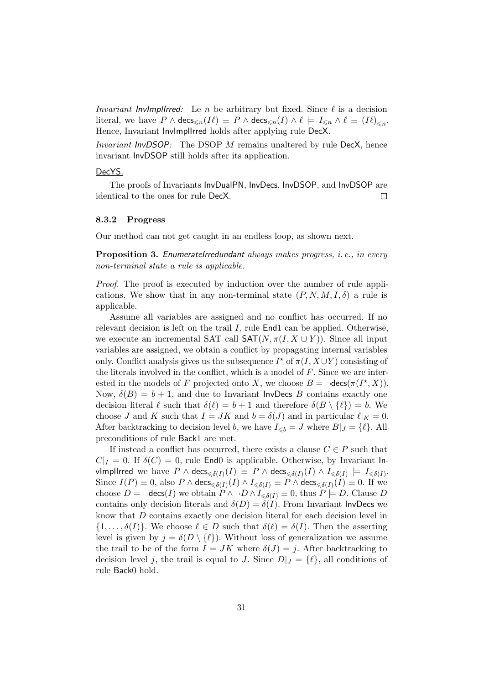*Invariant InvImplIrred:* Le *n* be arbitrary but fixed. Since  $\ell$  is a decision literal, we have  $P \wedge \mathsf{decs}_{\leqslant n}(I\ell) \equiv P \wedge \mathsf{decs}_{\leqslant n}(I) \wedge \ell \models I_{\leqslant n} \wedge \ell \equiv (I\ell)_{\leqslant n}.$ Hence, Invariant InvImplIrred holds after applying rule DecX.

Invariant InvDSOP: The DSOP M remains unaltered by rule DecX, hence invariant InvDSOP still holds after its application.

#### DecYS.

The proofs of Invariants InvDualPN, InvDecs, InvDSOP, and InvDSOP are identical to the ones for rule DecX.  $\Box$ 

#### <span id="page-30-0"></span>8.3.2 Progress

Our method can not get caught in an endless loop, as shown next.

<span id="page-30-1"></span>**Proposition 3.** EnumerateIrredundant always makes progress, *i.e.*, in every non-terminal state a rule is applicable.

Proof. The proof is executed by induction over the number of rule applications. We show that in any non-terminal state  $(P, N, M, I, \delta)$  a rule is applicable.

Assume all variables are assigned and no conflict has occurred. If no relevant decision is left on the trail I, rule End1 can be applied. Otherwise, we execute an incremental SAT call  $\mathsf{SAT}(N, \pi(I, X \cup Y))$ . Since all input variables are assigned, we obtain a conflict by propagating internal variables only. Conflict analysis gives us the subsequence  $I^*$  of  $\pi(I, X \cup Y)$  consisting of the literals involved in the conflict, which is a model of  $F$ . Since we are interested in the models of F projected onto X, we choose  $B = \neg \text{decs}(\pi(I^*, X)).$ Now,  $\delta(B) = b + 1$ , and due to Invariant InvDecs B contains exactly one decision literal  $\ell$  such that  $\delta(\ell) = b + 1$  and therefore  $\delta(B \setminus {\ell}) = b$ . We choose J and K such that  $I = JK$  and  $b = \delta(J)$  and in particular  $\ell|_K = 0$ . After backtracking to decision level b, we have  $I_{\leq b} = J$  where  $B|_J = \{\ell\}$ . All preconditions of rule Back1 are met.

If instead a conflict has occurred, there exists a clause  $C \in P$  such that  $C|_I = 0$ . If  $\delta(C) = 0$ , rule EndO is applicable. Otherwise, by Invariant Invlmpllrred we have  $P \wedge \mathsf{decs}_{\leqslant \delta(I)}(I) \, \equiv \, P \wedge \mathsf{decs}_{\leqslant \delta(I)}(I) \wedge I_{\leqslant \delta(I)} \, \models \, I_{\leqslant \delta(I)}.$ Since  $I(P) \equiv 0$ , also  $P \wedge \mathsf{decs}_{\leq \delta(I)}(I) \wedge I_{\leq \delta(I)} \equiv P \wedge \mathsf{decs}_{\leq \delta(I)}(I) \equiv 0$ . If we choose  $D = \neg \text{desc}(I)$  we obtain  $P \land \neg D \land I_{\leq \delta(I)} \equiv 0$ , thus  $P \models D$ . Clause D contains only decision literals and  $\delta(D) = \delta(I)$ . From Invariant InvDecs we know that D contains exactly one decision literal for each decision level in  $\{1, \ldots, \delta(I)\}\.$  We choose  $\ell \in D$  such that  $\delta(\ell) = \delta(I)$ . Then the asserting level is given by  $j = \delta(D \setminus \{\ell\})$ . Without loss of generalization we assume the trail to be of the form  $I = JK$  where  $\delta(J) = j$ . After backtracking to decision level j, the trail is equal to J. Since  $D|_J = \{ \ell \}$ , all conditions of rule Back0 hold.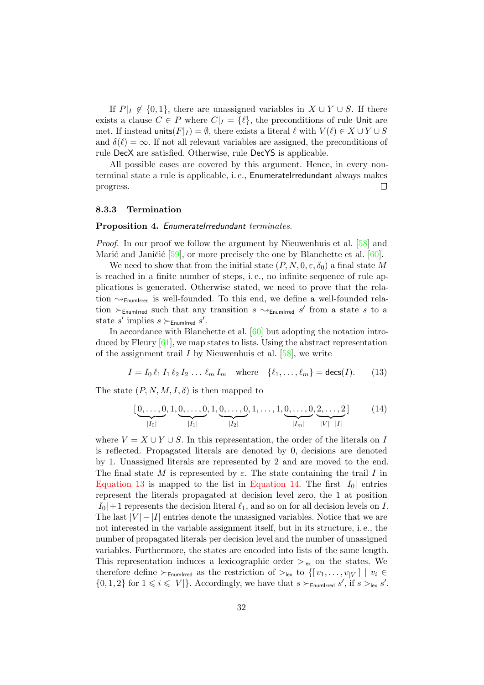If  $P|_I \notin \{0,1\}$ , there are unassigned variables in  $X \cup Y \cup S$ . If there exists a clause  $C \in P$  where  $C|_I = \{ \ell \}$ , the preconditions of rule Unit are met. If instead units( $F|_I$ ) =  $\emptyset$ , there exists a literal  $\ell$  with  $V(\ell) \in X \cup Y \cup S$ and  $\delta(\ell) = \infty$ . If not all relevant variables are assigned, the preconditions of rule DecX are satisfied. Otherwise, rule DecYS is applicable.

All possible cases are covered by this argument. Hence, in every nonterminal state a rule is applicable, i. e., EnumerateIrredundant always makes  $\Box$ progress.

#### <span id="page-31-0"></span>8.3.3 Termination

#### <span id="page-31-3"></span>Proposition 4. EnumerateIrredundant terminates.

*Proof.* In our proof we follow the argument by Nieuwenhuis et al. [\[58\]](#page-46-11) and Marić and Janičić  $[59]$ , or more precisely the one by Blanchette et al.  $[60]$ .

We need to show that from the initial state  $(P, N, 0, \varepsilon, \delta_0)$  a final state M is reached in a finite number of steps, i. e., no infinite sequence of rule applications is generated. Otherwise stated, we need to prove that the relation  $\rightsquigarrow_{\text{EnumIrred}}$  is well-founded. To this end, we define a well-founded relation  $\succ_{\text{EnumIrred}}$  such that any transition  $s \sim_{\text{EnumIrred}} s'$  from a state s to a state s' implies  $s \succ_{\text{EnumIrred}} s'$ .

In accordance with Blanchette et al. [\[60\]](#page-47-1) but adopting the notation introduced by Fleury [\[61\]](#page-47-2), we map states to lists. Using the abstract representation of the assignment trail  $I$  by Nieuwenhuis et al.  $[58]$ , we write

$$
I = I_0 \ell_1 I_1 \ell_2 I_2 \dots \ell_m I_m \quad \text{where} \quad \{\ell_1, \dots, \ell_m\} = \text{desc}(I). \tag{13}
$$

The state  $(P, N, M, I, \delta)$  is then mapped to

<span id="page-31-2"></span><span id="page-31-1"></span>
$$
[\underbrace{0,\ldots,0}_{|I_0|},1,\underbrace{0,\ldots,0}_{|I_1|},1,\underbrace{0,\ldots,0}_{|I_2|},1,\ldots,1,\underbrace{0,\ldots,0}_{|I_m|},\underbrace{2,\ldots,2}_{|V|-|I|}]
$$
 (14)

where  $V = X \cup Y \cup S$ . In this representation, the order of the literals on I is reflected. Propagated literals are denoted by 0, decisions are denoted by 1. Unassigned literals are represented by 2 and are moved to the end. The final state M is represented by  $\varepsilon$ . The state containing the trail I in [Equation 13](#page-31-1) is mapped to the list in [Equation 14.](#page-31-2) The first  $|I_0|$  entries represent the literals propagated at decision level zero, the 1 at position  $|I_0|+1$  represents the decision literal  $\ell_1$ , and so on for all decision levels on I. The last  $|V| - |I|$  entries denote the unassigned variables. Notice that we are not interested in the variable assignment itself, but in its structure, i. e., the number of propagated literals per decision level and the number of unassigned variables. Furthermore, the states are encoded into lists of the same length. This representation induces a lexicographic order  $>_{lex}$  on the states. We therefore define  $\succ_{\text{EnumIrred}}$  as the restriction of  $\succ_{\text{lex}}$  to  $\{[v_1,\ldots,v_{|V|}] \mid v_i \in$  $\{0, 1, 2\}$  for  $1 \leqslant i \leqslant |V|$ . Accordingly, we have that  $s \succ_{\text{EnumIrred}} s'$ , if  $s >_{\text{lex}} s'$ .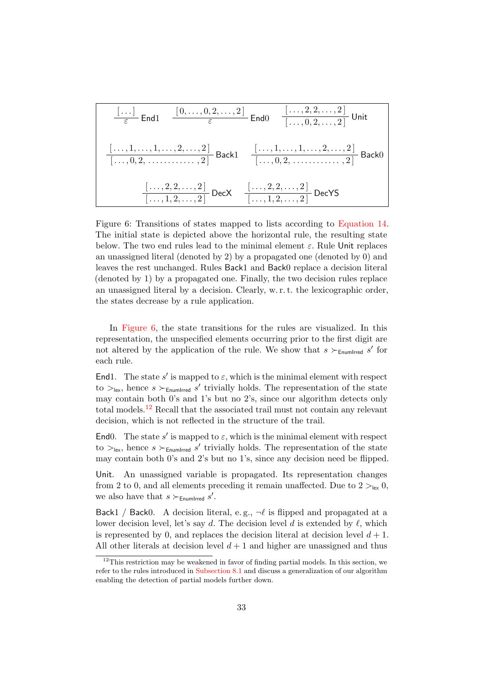| $\frac{[\ldots]}{\varepsilon}$ End1                                                | $\frac{[0,\ldots,0,2,\ldots,2]}{\varepsilon}$ End0                                 | $\frac{[\ldots,2,2,\ldots,2]}{\ldots,0,2,\ldots,2]}$ Unit |
|------------------------------------------------------------------------------------|------------------------------------------------------------------------------------|-----------------------------------------------------------|
| $\frac{[\ldots,1,\ldots,1,\ldots,2,\ldots,2]}{\ldots,0,2,\ldots\ldots,2,2]}$ Back1 | $\frac{[\ldots,1,\ldots,1,\ldots,2,\ldots,2]}{\ldots,0,2,\ldots\ldots,2,2]}$ Back0 |                                                           |
| $\frac{[\ldots,2,2,\ldots,2]}{\ldots,1,2,\ldots,2]}$ DecX                          | $\frac{[\ldots,2,2,\ldots,2]}{\ldots,1,2,\ldots,2]}$ DecYS                         |                                                           |

<span id="page-32-0"></span>Figure 6: Transitions of states mapped to lists according to [Equation 14.](#page-31-2) The initial state is depicted above the horizontal rule, the resulting state below. The two end rules lead to the minimal element  $\varepsilon$ . Rule Unit replaces an unassigned literal (denoted by 2) by a propagated one (denoted by 0) and leaves the rest unchanged. Rules Back1 and Back0 replace a decision literal (denoted by 1) by a propagated one. Finally, the two decision rules replace an unassigned literal by a decision. Clearly, w. r. t. the lexicographic order, the states decrease by a rule application.

In [Figure 6,](#page-32-0) the state transitions for the rules are visualized. In this representation, the unspecified elements occurring prior to the first digit are not altered by the application of the rule. We show that  $s \succ_{\text{EnumIrred}} s'$  for each rule.

End1. The state s' is mapped to  $\varepsilon$ , which is the minimal element with respect to  $>_{lex}$ , hence  $s$   $\succ_{EnumIrred} s'$  trivially holds. The representation of the state may contain both 0's and 1's but no 2's, since our algorithm detects only total models.[12](#page-32-1) Recall that the associated trail must not contain any relevant decision, which is not reflected in the structure of the trail.

End0. The state s' is mapped to  $\varepsilon$ , which is the minimal element with respect to  $>_{lex}$ , hence  $s$   $\succ_{EnumIrred} s'$  trivially holds. The representation of the state may contain both 0's and 2's but no 1's, since any decision need be flipped.

Unit. An unassigned variable is propagated. Its representation changes from 2 to 0, and all elements preceding it remain unaffected. Due to  $2 >_{lex} 0$ , we also have that  $s \succ_{\mathsf{EnumIrred}} s'$ .

Back1 / Back0. A decision literal, e.g.,  $\neg \ell$  is flipped and propagated at a lower decision level, let's say d. The decision level d is extended by  $\ell$ , which is represented by 0, and replaces the decision literal at decision level  $d+1$ . All other literals at decision level  $d+1$  and higher are unassigned and thus

<span id="page-32-1"></span> $12$ This restriction may be weakened in favor of finding partial models. In this section, we refer to the rules introduced in [Subsection 8.1](#page-21-1) and discuss a generalization of our algorithm enabling the detection of partial models further down.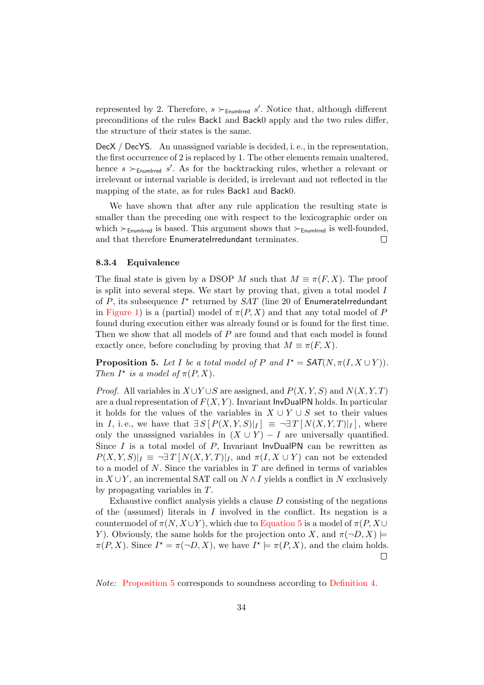represented by 2. Therefore,  $s \succ_{\text{EnumIrred}} s'$ . Notice that, although different preconditions of the rules Back1 and Back0 apply and the two rules differ, the structure of their states is the same.

DecX / DecYS. An unassigned variable is decided, i. e., in the representation, the first occurrence of 2 is replaced by 1. The other elements remain unaltered, hence  $s \succ_{\text{EnumIrred}} s'$ . As for the backtracking rules, whether a relevant or irrelevant or internal variable is decided, is irrelevant and not reflected in the mapping of the state, as for rules Back1 and Back0.

We have shown that after any rule application the resulting state is smaller than the preceding one with respect to the lexicographic order on which  $\succ_{\text{EnumIrred}}$  is based. This argument shows that  $\succ_{\text{EnumIrred}}$  is well-founded, and that therefore EnumerateIrredundant terminates.  $\Box$ 

#### <span id="page-33-0"></span>8.3.4 Equivalence

The final state is given by a DSOP M such that  $M \equiv \pi(F, X)$ . The proof is split into several steps. We start by proving that, given a total model I of  $P$ , its subsequence  $I^*$  returned by  $SAT$  (line 20 of EnumerateIrredundant in [Figure 1\)](#page-18-0) is a (partial) model of  $\pi(P, X)$  and that any total model of P found during execution either was already found or is found for the first time. Then we show that all models of P are found and that each model is found exactly once, before concluding by proving that  $M \equiv \pi(F, X)$ .

<span id="page-33-1"></span>**Proposition 5.** Let I be a total model of P and  $I^* = \mathsf{SAT}(N, \pi(I, X \cup Y))$ . Then  $I^*$  is a model of  $\pi(P, X)$ .

*Proof.* All variables in  $X \cup Y \cup S$  are assigned, and  $P(X, Y, S)$  and  $N(X, Y, T)$ are a dual representation of  $F(X, Y)$ . Invariant InvDualPN holds. In particular it holds for the values of the variables in  $X \cup Y \cup S$  set to their values in I, i.e., we have that  $\exists S [P(X,Y,S)|_I] \equiv \neg \exists T [N(X,Y,T)|_I]$ , where only the unassigned variables in  $(X \cup Y) - I$  are universally quantified. Since  $I$  is a total model of  $P$ , Invariant InvDualPN can be rewritten as  $P(X, Y, S)|_I \equiv \neg \exists T [ N(X, Y, T)|_I$ , and  $\pi(I, X \cup Y)$  can not be extended to a model of  $N$ . Since the variables in  $T$  are defined in terms of variables in  $X \cup Y$ , an incremental SAT call on  $N \wedge I$  yields a conflict in N exclusively by propagating variables in T.

Exhaustive conflict analysis yields a clause D consisting of the negations of the (assumed) literals in I involved in the conflict. Its negation is a countermodel of  $\pi(N, X \cup Y)$ , which due to [Equation 5](#page-11-5) is a model of  $\pi(P, X \cup Y)$ Y). Obviously, the same holds for the projection onto X, and  $\pi(\neg D, X) \models$  $\pi(P, X)$ . Since  $I^* = \pi(\neg D, X)$ , we have  $I^* \models \pi(P, X)$ , and the claim holds.  $\Box$ 

Note: [Proposition 5](#page-33-1) corresponds to soundness according to [Definition 4.](#page-12-3)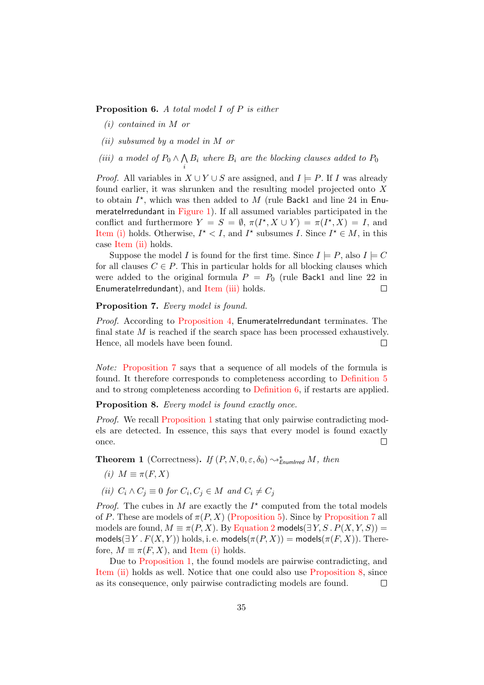#### <span id="page-34-7"></span><span id="page-34-0"></span>**Proposition 6.** A total model I of P is either

i

- (i) contained in M or
- <span id="page-34-1"></span>(ii) subsumed by a model in M or
- <span id="page-34-2"></span>(iii) a model of  $P_0 \wedge \bigwedge$  $B_i$  where  $B_i$  are the blocking clauses added to  $P_0$

*Proof.* All variables in  $X \cup Y \cup S$  are assigned, and  $I \models P$ . If I was already found earlier, it was shrunken and the resulting model projected onto X to obtain  $I^*$ , which was then added to M (rule Back1 and line 24 in Enu-merateIrredundant in [Figure 1\)](#page-18-0). If all assumed variables participated in the conflict and furthermore  $Y = S = \emptyset$ ,  $\pi(I^*, X \cup Y) = \pi(I^*, X) = I$ , and [Item \(i\)](#page-34-0) holds. Otherwise,  $I^* < I$ , and  $I^*$  subsumes I. Since  $I^* \in M$ , in this case [Item \(ii\)](#page-34-1) holds.

Suppose the model I is found for the first time. Since  $I \models P$ , also  $I \models C$ for all clauses  $C \in P$ . This in particular holds for all blocking clauses which were added to the original formula  $P = P_0$  (rule Back1 and line 22 in  $\Box$ EnumerateIrredundant), and [Item \(iii\)](#page-34-2) holds.

### <span id="page-34-3"></span>Proposition 7. Every model is found.

Proof. According to [Proposition 4,](#page-31-3) EnumerateIrredundant terminates. The final state  $M$  is reached if the search space has been processed exhaustively. Hence, all models have been found.  $\Box$ 

Note: [Proposition 7](#page-34-3) says that a sequence of all models of the formula is found. It therefore corresponds to completeness according to [Definition 5](#page-12-4) and to strong completeness according to [Definition 6,](#page-12-5) if restarts are applied.

<span id="page-34-6"></span>Proposition 8. Every model is found exactly once.

Proof. We recall [Proposition 1](#page-15-3) stating that only pairwise contradicting models are detected. In essence, this says that every model is found exactly  $\Box$ once.

<span id="page-34-8"></span>**Theorem 1** (Correctness). If  $(P, N, 0, \varepsilon, \delta_0) \sim_{\text{EnumIrred}}^* M$ , then

- <span id="page-34-4"></span>(i)  $M \equiv \pi(F, X)$
- <span id="page-34-5"></span>(ii)  $C_i \wedge C_j \equiv 0$  for  $C_i, C_j \in M$  and  $C_i \neq C_j$

*Proof.* The cubes in M are exactly the  $I^*$  computed from the total models of P. These are models of  $\pi(P, X)$  [\(Proposition 5\)](#page-33-1). Since by [Proposition 7](#page-34-3) all models are found,  $M \equiv \pi(P, X)$ . By [Equation 2](#page-11-3) models( $\exists Y, S \cdot P(X, Y, S)$ ) = models( $\exists Y \cdot F(X, Y)$ ) holds, i. e. models( $\pi(P, X)$ ) = models( $\pi(F, X)$ ). Therefore,  $M \equiv \pi(F, X)$ , and [Item \(i\)](#page-34-4) holds.

Due to [Proposition 1,](#page-15-3) the found models are pairwise contradicting, and [Item \(ii\)](#page-34-5) holds as well. Notice that one could also use [Proposition 8,](#page-34-6) since as its consequence, only pairwise contradicting models are found.  $\Box$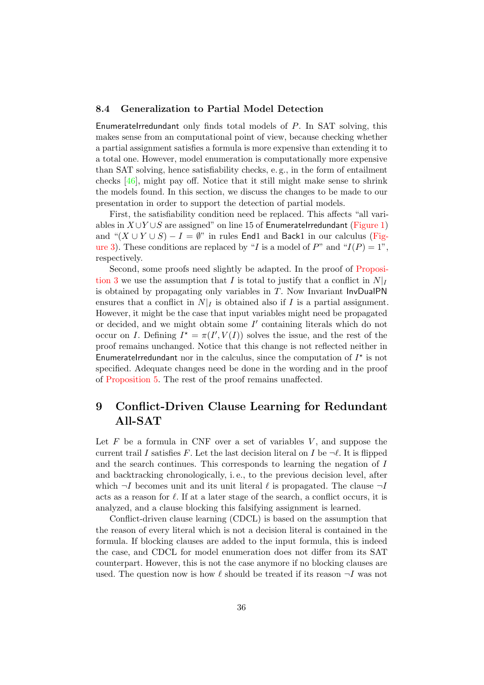## <span id="page-35-1"></span>8.4 Generalization to Partial Model Detection

EnumerateIrredundant only finds total models of  $P$ . In SAT solving, this makes sense from an computational point of view, because checking whether a partial assignment satisfies a formula is more expensive than extending it to a total one. However, model enumeration is computationally more expensive than SAT solving, hence satisfiability checks, e. g., in the form of entailment checks [\[46\]](#page-46-1), might pay off. Notice that it still might make sense to shrink the models found. In this section, we discuss the changes to be made to our presentation in order to support the detection of partial models.

First, the satisfiability condition need be replaced. This affects "all variables in  $X \cup Y \cup S$  are assigned" on line 15 of EnumerateIrredundant [\(Figure 1\)](#page-18-0) and " $(X \cup Y \cup S) - I = \emptyset$ " in rules End1 and Back1 in our calculus [\(Fig](#page-22-0)[ure 3\)](#page-22-0). These conditions are replaced by "I is a model of  $P$ " and " $I(P) = 1$ ", respectively.

Second, some proofs need slightly be adapted. In the proof of [Proposi](#page-30-1)[tion 3](#page-30-1) we use the assumption that I is total to justify that a conflict in  $N|_I$ is obtained by propagating only variables in  $T$ . Now Invariant InvDualPN ensures that a conflict in  $N|_I$  is obtained also if I is a partial assignment. However, it might be the case that input variables might need be propagated or decided, and we might obtain some  $I'$  containing literals which do not occur on *I*. Defining  $I^* = \pi(I', V(I))$  solves the issue, and the rest of the proof remains unchanged. Notice that this change is not reflected neither in EnumerateIrredundant nor in the calculus, since the computation of  $I^*$  is not specified. Adequate changes need be done in the wording and in the proof of [Proposition 5.](#page-33-1) The rest of the proof remains unaffected.

# <span id="page-35-0"></span>9 Conflict-Driven Clause Learning for Redundant All-SAT

Let  $F$  be a formula in CNF over a set of variables  $V$ , and suppose the current trail I satisfies F. Let the last decision literal on I be  $\neg \ell$ . It is flipped and the search continues. This corresponds to learning the negation of I and backtracking chronologically, i. e., to the previous decision level, after which  $\neg I$  becomes unit and its unit literal  $\ell$  is propagated. The clause  $\neg I$ acts as a reason for  $\ell$ . If at a later stage of the search, a conflict occurs, it is analyzed, and a clause blocking this falsifying assignment is learned.

Conflict-driven clause learning (CDCL) is based on the assumption that the reason of every literal which is not a decision literal is contained in the formula. If blocking clauses are added to the input formula, this is indeed the case, and CDCL for model enumeration does not differ from its SAT counterpart. However, this is not the case anymore if no blocking clauses are used. The question now is how  $\ell$  should be treated if its reason  $\neg I$  was not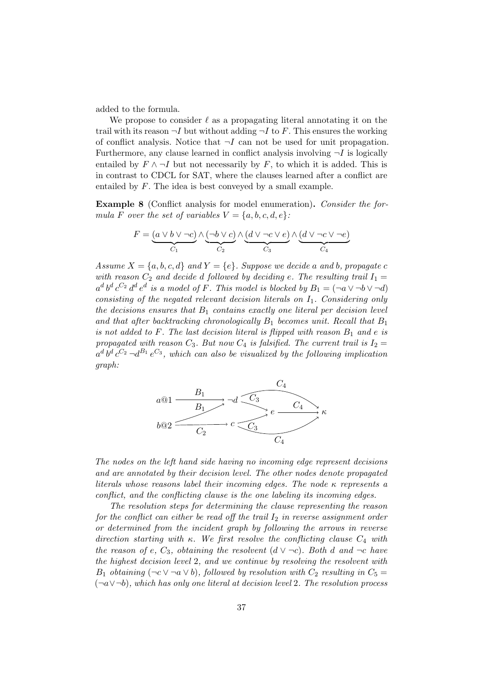added to the formula.

We propose to consider  $\ell$  as a propagating literal annotating it on the trail with its reason  $\neg I$  but without adding  $\neg I$  to F. This ensures the working of conflict analysis. Notice that  $\neg I$  can not be used for unit propagation. Furthermore, any clause learned in conflict analysis involving  $\neg I$  is logically entailed by  $F \wedge \neg I$  but not necessarily by F, to which it is added. This is in contrast to CDCL for SAT, where the clauses learned after a conflict are entailed by F. The idea is best conveyed by a small example.

Example 8 (Conflict analysis for model enumeration). Consider the formula F over the set of variables  $V = \{a, b, c, d, e\}$ :

$$
F=\underbrace{(a\vee b\vee \neg c)}_{C_1}\wedge \underbrace{(\neg b\vee c)}_{C_2}\wedge \underbrace{(d\vee \neg c\vee e)}_{C_3}\wedge \underbrace{(d\vee \neg c\vee \neg e)}_{C_4}
$$

Assume  $X = \{a, b, c, d\}$  and  $Y = \{e\}$ . Suppose we decide a and b, propagate c with reason  $C_2$  and decide d followed by deciding e. The resulting trail  $I_1 =$  $a^d b^d c^{C_2} d^d e^d$  is a model of F. This model is blocked by  $B_1 = (\neg a \vee \neg b \vee \neg d)$ consisting of the negated relevant decision literals on  $I_1$ . Considering only the decisions ensures that  $B_1$  contains exactly one literal per decision level and that after backtracking chronologically  $B_1$  becomes unit. Recall that  $B_1$ is not added to F. The last decision literal is flipped with reason  $B_1$  and e is propagated with reason  $C_3$ . But now  $C_4$  is falsified. The current trail is  $I_2 =$  $a^d b^d c^{C_2} \neg d^{B_1} e^{C_3}$ , which can also be visualized by the following implication graph:



The nodes on the left hand side having no incoming edge represent decisions and are annotated by their decision level. The other nodes denote propagated literals whose reasons label their incoming edges. The node  $\kappa$  represents a conflict, and the conflicting clause is the one labeling its incoming edges.

The resolution steps for determining the clause representing the reason for the conflict can either be read off the trail  $I_2$  in reverse assignment order or determined from the incident graph by following the arrows in reverse direction starting with κ. We first resolve the conflicting clause  $C_4$  with the reason of e,  $C_3$ , obtaining the resolvent  $(d \vee \neg c)$ . Both d and  $\neg c$  have the highest decision level 2, and we continue by resolving the resolvent with B<sub>1</sub> obtaining  $(\neg c \lor \neg a \lor b)$ , followed by resolution with  $C_2$  resulting in  $C_5 =$  $(\neg a \lor \neg b)$ , which has only one literal at decision level 2. The resolution process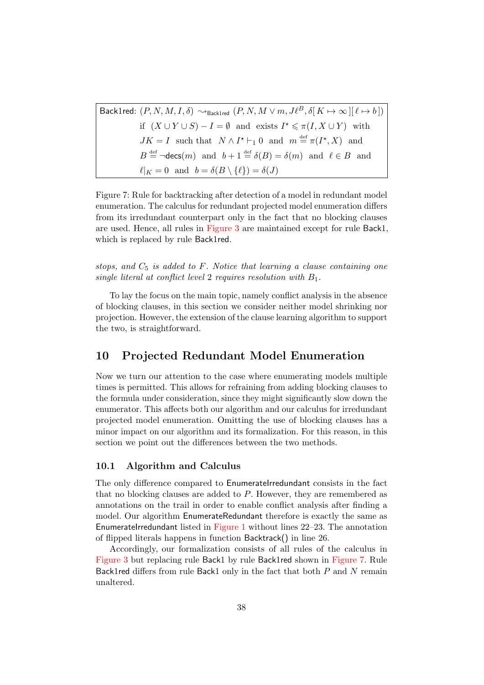Back1red:  $(P, N, M, I, \delta) \rightsquigarrow_{Back1red} (P, N, M \vee m, J\ell^B, \delta[K \mapsto \infty][\ell \mapsto b])$ if  $(X \cup Y \cup S) - I = \emptyset$  and exists  $I^* \leq \pi(I, X \cup Y)$  with  $JK = I$  such that  $N \wedge I^* \vdash_1 0$  and  $m \stackrel{\text{def}}{=} \pi(I^*, X)$  and  $B \stackrel{\text{def}}{=} \neg \text{desc}(m)$  and  $b+1 \stackrel{\text{def}}{=} \delta(B) = \delta(m)$  and  $\ell \in B$  and  $\ell|_{K} = 0$  and  $b = \delta(B \setminus {\ell}) = \delta(J)$ 

<span id="page-37-1"></span>Figure 7: Rule for backtracking after detection of a model in redundant model enumeration. The calculus for redundant projected model enumeration differs from its irredundant counterpart only in the fact that no blocking clauses are used. Hence, all rules in [Figure 3](#page-22-0) are maintained except for rule Back1, which is replaced by rule Back1red.

stops, and  $C_5$  is added to F. Notice that learning a clause containing one single literal at conflict level 2 requires resolution with  $B_1$ .

To lay the focus on the main topic, namely conflict analysis in the absence of blocking clauses, in this section we consider neither model shrinking nor projection. However, the extension of the clause learning algorithm to support the two, is straightforward.

# <span id="page-37-0"></span>10 Projected Redundant Model Enumeration

Now we turn our attention to the case where enumerating models multiple times is permitted. This allows for refraining from adding blocking clauses to the formula under consideration, since they might significantly slow down the enumerator. This affects both our algorithm and our calculus for irredundant projected model enumeration. Omitting the use of blocking clauses has a minor impact on our algorithm and its formalization. For this reason, in this section we point out the differences between the two methods.

## 10.1 Algorithm and Calculus

The only difference compared to EnumerateIrredundant consists in the fact that no blocking clauses are added to P. However, they are remembered as annotations on the trail in order to enable conflict analysis after finding a model. Our algorithm EnumerateRedundant therefore is exactly the same as EnumerateIrredundant listed in [Figure 1](#page-18-0) without lines  $22-23$ . The annotation of flipped literals happens in function Backtrack() in line 26.

Accordingly, our formalization consists of all rules of the calculus in [Figure 3](#page-22-0) but replacing rule Back1 by rule Back1red shown in [Figure 7.](#page-37-1) Rule Back1red differs from rule Back1 only in the fact that both  $P$  and  $N$  remain unaltered.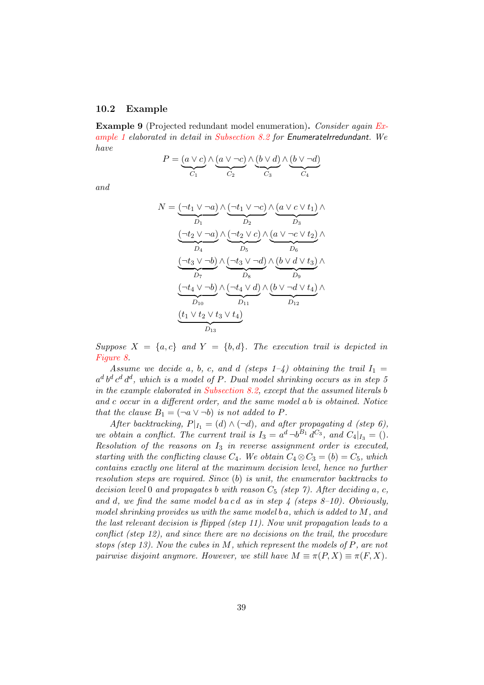#### 10.2 Example

Example 9 (Projected redundant model enumeration). Consider again [Ex](#page-1-3)[ample 1](#page-1-3) elaborated in detail in [Subsection 8.2](#page-23-0) for EnumerateIrredundant. We have

$$
P = \underbrace{(a \lor c)}_{C_1} \land \underbrace{(a \lor \neg c)}_{C_2} \land \underbrace{(b \lor d)}_{C_3} \land \underbrace{(b \lor \neg d)}_{C_4}
$$

and

$$
N = \underbrace{(\neg t_1 \lor \neg a)}_{D_1} \land \underbrace{(\neg t_1 \lor \neg c)}_{D_2} \land \underbrace{(a \lor c \lor t_1)}_{D_3} \land \underbrace{(\neg t_2 \lor \neg a)}_{D_4} \land \underbrace{(\neg t_2 \lor c)}_{D_5} \land \underbrace{(a \lor \neg c \lor t_2)}_{D_6} \land \underbrace{(\neg t_3 \lor \neg b)}_{D_7} \land \underbrace{(\neg t_3 \lor \neg b)}_{D_8} \land \underbrace{(b \lor d \lor t_3)}_{D_9} \land \underbrace{(\neg t_4 \lor \neg b)}_{D_{10}} \land \underbrace{(b \lor \neg d \lor t_4)}_{D_{12}} \land \underbrace{(t_1 \lor t_2 \lor t_3 \lor t_4)}_{D_{13}}
$$

Suppose  $X = \{a, c\}$  and  $Y = \{b, d\}$ . The execution trail is depicted in [Figure 8.](#page-39-0)

Assume we decide a, b, c, and d (steps  $1-4$ ) obtaining the trail  $I_1 =$  $a^d b^d c^d d^d$ , which is a model of P. Dual model shrinking occurs as in step 5 in the example elaborated in [Subsection 8.2,](#page-23-0) except that the assumed literals b and c occur in a different order, and the same model a b is obtained. Notice that the clause  $B_1 = (\neg a \lor \neg b)$  is not added to P.

After backtracking,  $P|_{I_1} = (d) \wedge (\neg d)$ , and after propagating d (step 6), we obtain a conflict. The current trail is  $I_3 = a^d \neg b^{B_1} d^{C_3}$ , and  $C_4|_{I_3} =$  (). Resolution of the reasons on  $I_3$  in reverse assignment order is executed, starting with the conflicting clause  $C_4$ . We obtain  $C_4 \otimes C_3 = (b) = C_5$ , which contains exactly one literal at the maximum decision level, hence no further resolution steps are required. Since (b) is unit, the enumerator backtracks to decision level 0 and propagates b with reason  $C_5$  (step 7). After deciding a, c, and d, we find the same model b a c d as in step  $\frac{1}{4}$  (steps 8–10). Obviously, model shrinking provides us with the same model b  $a$ , which is added to  $M$ , and the last relevant decision is flipped (step 11). Now unit propagation leads to a conflict (step 12), and since there are no decisions on the trail, the procedure stops (step 13). Now the cubes in M, which represent the models of  $P$ , are not pairwise disjoint anymore. However, we still have  $M \equiv \pi(P, X) \equiv \pi(F, X)$ .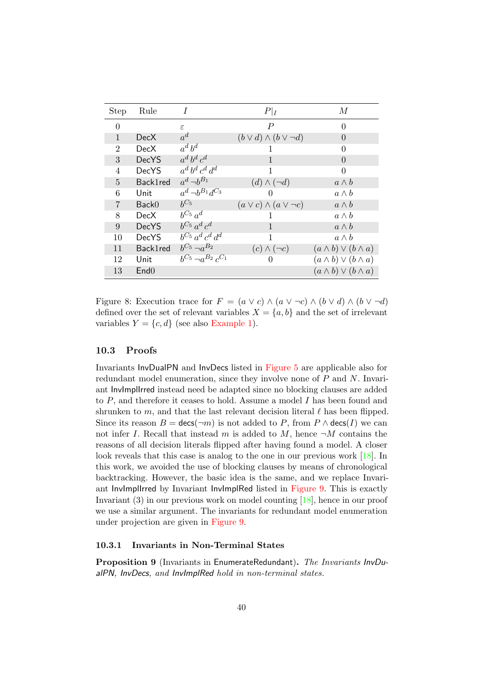| <b>Step</b>    | Rule              | $\overline{I}$                 | $P _I$                              | М                                |
|----------------|-------------------|--------------------------------|-------------------------------------|----------------------------------|
| $\Omega$       |                   | ε                              | $\boldsymbol{P}$                    | $\Omega$                         |
| $\mathbf{1}$   | <b>DecX</b>       | $a^d$                          | $(b \vee d) \wedge (b \vee \neg d)$ | $\left( \right)$                 |
| 2              | DecX              | $a^d b^d$                      | I.                                  | 0                                |
| 3              | <b>DecYS</b>      | $a^d b^d c^d$                  | $\mathbf{1}$                        | $\Omega$                         |
| 4              | <b>DecYS</b>      | $a^d b^d c^d d^d$              | 1                                   | 0                                |
| $\overline{5}$ | Back1red          | $a^d \neg b^{B_1}$             | $(d) \wedge (\neg d)$               | $a \wedge b$                     |
| 6              | Unit              | $a^d \, \neg b^{B_1} d^{C_3}$  | 0                                   | $a \wedge b$                     |
| $\overline{7}$ | Back <sub>0</sub> | $h^{C_5}$                      | $(a \vee c) \wedge (a \vee \neg c)$ | $a \wedge b$                     |
| 8              | <b>DecX</b>       | $b^{C_5} a^d$                  | 1                                   | $a \wedge b$                     |
| 9              | <b>DecYS</b>      | $b^{C_5} a^d c^d$              | $\mathbf{1}$                        | $a \wedge b$                     |
| 10             | <b>DecYS</b>      | $b^{C_5} a^d c^d d^d$          | 1                                   | $a \wedge b$                     |
| 11             | Back1red          | $b^{C_5} \neg a^{B_2}$         | $(c) \wedge (\neg c)$               | $(a \wedge b) \vee (b \wedge a)$ |
| 12             | Unit              | $b^{C_5} \neg a^{B_2} c^{C_1}$ | $\theta$                            | $(a \wedge b) \vee (b \wedge a)$ |
| 13             | End <sub>0</sub>  |                                |                                     | $(a \wedge b) \vee (b \wedge a)$ |

<span id="page-39-0"></span>Figure 8: Execution trace for  $F = (a \lor c) \land (a \lor \neg c) \land (b \lor d) \land (b \lor \neg d)$ defined over the set of relevant variables  $X = \{a, b\}$  and the set of irrelevant variables  $Y = \{c, d\}$  (see also [Example 1\)](#page-1-3).

## 10.3 Proofs

Invariants InvDualPN and InvDecs listed in [Figure 5](#page-27-0) are applicable also for redundant model enumeration, since they involve none of P and N. Invariant InvImplIrred instead need be adapted since no blocking clauses are added to P, and therefore it ceases to hold. Assume a model I has been found and shrunken to m, and that the last relevant decision literal  $\ell$  has been flipped. Since its reason  $B = \text{desc}(\neg m)$  is not added to P, from  $P \wedge \text{desc}(I)$  we can not infer I. Recall that instead m is added to M, hence  $\neg M$  contains the reasons of all decision literals flipped after having found a model. A closer look reveals that this case is analog to the one in our previous work [\[18\]](#page-44-1). In this work, we avoided the use of blocking clauses by means of chronological backtracking. However, the basic idea is the same, and we replace Invariant InvImplIrred by Invariant InvImplRed listed in [Figure 9.](#page-40-0) This is exactly Invariant (3) in our previous work on model counting [\[18\]](#page-44-1), hence in our proof we use a similar argument. The invariants for redundant model enumeration under projection are given in [Figure 9.](#page-40-0)

#### 10.3.1 Invariants in Non-Terminal States

Proposition 9 (Invariants in EnumerateRedundant). The Invariants InvDualPN, InvDecs, and InvImplRed hold in non-terminal states.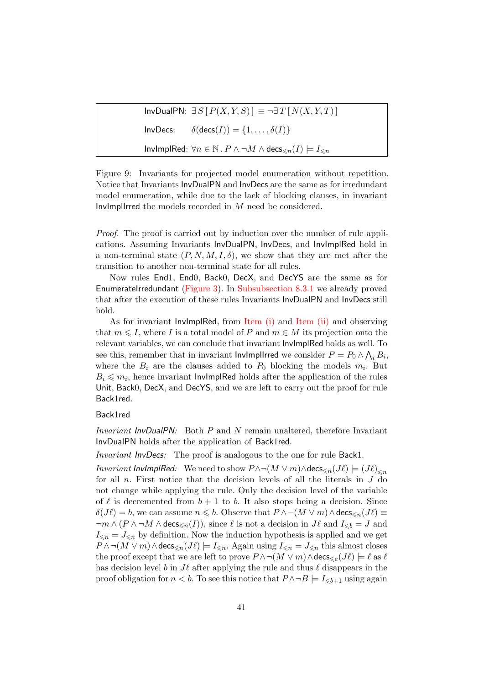InvDualPN:  $∃S[P(X, Y, S)] ≡ ¬∃T[N(X, Y, T)]$ InvDecs:  $\delta(\text{decs}(I)) = \{1, \ldots, \delta(I)\}\$ InvImplRed:  $\forall n \in \mathbb{N}$  .  $P \land \neg M \land \text{decs}_{\leq n}(I) \models I_{\leq n}$ 

<span id="page-40-0"></span>Figure 9: Invariants for projected model enumeration without repetition. Notice that Invariants InvDualPN and InvDecs are the same as for irredundant model enumeration, while due to the lack of blocking clauses, in invariant InvImplIrred the models recorded in M need be considered.

Proof. The proof is carried out by induction over the number of rule applications. Assuming Invariants InvDualPN, InvDecs, and InvImplRed hold in a non-terminal state  $(P, N, M, I, \delta)$ , we show that they are met after the transition to another non-terminal state for all rules.

Now rules End1, End0, Back0, DecX, and DecYS are the same as for EnumerateIrredundant [\(Figure 3\)](#page-22-0). In [Subsubsection 8.3.1](#page-27-1) we already proved that after the execution of these rules Invariants InvDualPN and InvDecs still hold.

As for invariant InvImplRed, from [Item \(i\)](#page-34-0) and [Item \(ii\)](#page-34-1) and observing that  $m \leq I$ , where I is a total model of P and  $m \in M$  its projection onto the relevant variables, we can conclude that invariant InvImplRed holds as well. To see this, remember that in invariant lnvlmpllrred we consider  $P = P_0 \wedge \bigwedge_i B_i$ , where the  $B_i$  are the clauses added to  $P_0$  blocking the models  $m_i$ . But  $B_i \leq m_i$ , hence invariant InvImplRed holds after the application of the rules Unit, Back0, DecX, and DecYS, and we are left to carry out the proof for rule Back1red.

#### Back1red

Invariant InvDualPN: Both P and N remain unaltered, therefore Invariant InvDualPN holds after the application of Back1red.

Invariant InvDecs: The proof is analogous to the one for rule Back1.

*Invariant InvImplRed:* We need to show  $P \wedge \neg(M \vee m) \wedge \text{desc}_{\leq n}(J\ell) \models (J\ell)_{\leq n}$ for all  $n$ . First notice that the decision levels of all the literals in  $J$  do not change while applying the rule. Only the decision level of the variable of  $\ell$  is decremented from  $b + 1$  to b. It also stops being a decision. Since  $\delta(J\ell) = b$ , we can assume  $n \leq b$ . Observe that  $P \wedge \neg(M \vee m) \wedge \text{decs}_{\leq n}(J\ell) \equiv$  $\neg m \wedge (P \wedge \neg M \wedge \text{decs}_{\leq n}(I)),$  since  $\ell$  is not a decision in  $J\ell$  and  $I_{\leq b} = J$  and  $I_{\leq n} = J_{\leq n}$  by definition. Now the induction hypothesis is applied and we get  $P \wedge \neg(M \vee m) \wedge \text{decs}_{\leq n}(J\ell) \models I_{\leq n}$ . Again using  $I_{\leq n} = J_{\leq n}$  this almost closes the proof except that we are left to prove  $P \wedge \neg(M \vee m) \wedge \text{decs}_{\leq \epsilon}(J\ell) \models \ell$  as  $\ell$ has decision level b in  $J\ell$  after applying the rule and thus  $\ell$  disappears in the proof obligation for  $n < b$ . To see this notice that  $P \land \neg B \models I_{\leq b+1}$  using again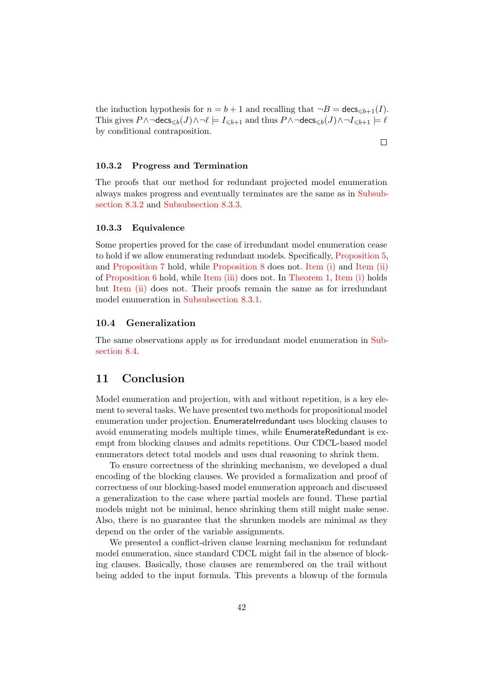the induction hypothesis for  $n = b + 1$  and recalling that  $\neg B = \text{desc}_{\leq b+1}(I)$ . This gives  $P \wedge \neg \text{decs}_{\leq b}(J) \wedge \neg \ell \models I_{\leq b+1}$  and thus  $P \wedge \neg \text{decs}_{\leq b}(J) \wedge \neg I_{\leq b+1} \models \ell$ by conditional contraposition.

 $\Box$ 

#### 10.3.2 Progress and Termination

The proofs that our method for redundant projected model enumeration always makes progress and eventually terminates are the same as in [Subsub](#page-30-0)[section 8.3.2](#page-30-0) and [Subsubsection 8.3.3.](#page-31-0)

#### 10.3.3 Equivalence

Some properties proved for the case of irredundant model enumeration cease to hold if we allow enumerating redundant models. Specifically, [Proposition 5,](#page-33-1) and [Proposition 7](#page-34-3) hold, while [Proposition 8](#page-34-6) does not. [Item \(i\)](#page-34-0) and [Item \(ii\)](#page-34-1) of [Proposition 6](#page-34-7) hold, while [Item \(iii\)](#page-34-2) does not. In [Theorem 1,](#page-34-8) [Item \(i\)](#page-34-4) holds but [Item \(ii\)](#page-34-5) does not. Their proofs remain the same as for irredundant model enumeration in [Subsubsection 8.3.1.](#page-27-1)

## 10.4 Generalization

The same observations apply as for irredundant model enumeration in [Sub](#page-35-1)[section 8.4.](#page-35-1)

# <span id="page-41-0"></span>11 Conclusion

Model enumeration and projection, with and without repetition, is a key element to several tasks. We have presented two methods for propositional model enumeration under projection. EnumerateIrredundant uses blocking clauses to avoid enumerating models multiple times, while EnumerateRedundant is exempt from blocking clauses and admits repetitions. Our CDCL-based model enumerators detect total models and uses dual reasoning to shrink them.

To ensure correctness of the shrinking mechanism, we developed a dual encoding of the blocking clauses. We provided a formalization and proof of correctness of our blocking-based model enumeration approach and discussed a generalization to the case where partial models are found. These partial models might not be minimal, hence shrinking them still might make sense. Also, there is no guarantee that the shrunken models are minimal as they depend on the order of the variable assignments.

We presented a conflict-driven clause learning mechanism for redundant model enumeration, since standard CDCL might fail in the absence of blocking clauses. Basically, those clauses are remembered on the trail without being added to the input formula. This prevents a blowup of the formula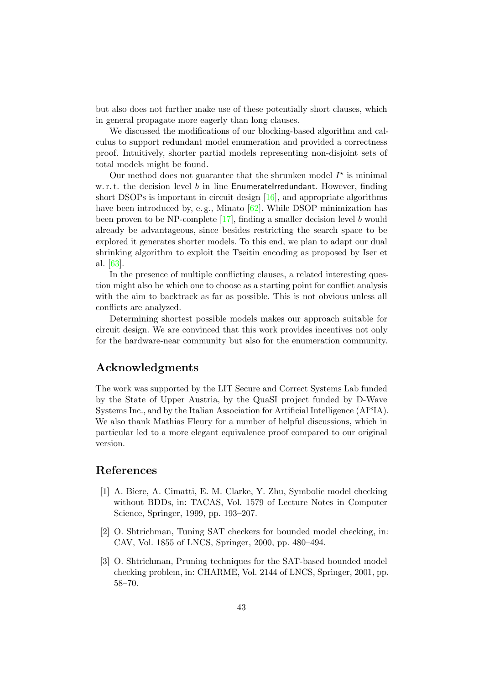but also does not further make use of these potentially short clauses, which in general propagate more eagerly than long clauses.

We discussed the modifications of our blocking-based algorithm and calculus to support redundant model enumeration and provided a correctness proof. Intuitively, shorter partial models representing non-disjoint sets of total models might be found.

Our method does not guarantee that the shrunken model  $I^*$  is minimal w. r. t. the decision level  $b$  in line EnumerateIrredundant. However, finding short DSOPs is important in circuit design  $[16]$ , and appropriate algorithms have been introduced by, e.g., Minato [\[62\]](#page-47-3). While DSOP minimization has been proven to be NP-complete [\[17\]](#page-44-0), finding a smaller decision level b would already be advantageous, since besides restricting the search space to be explored it generates shorter models. To this end, we plan to adapt our dual shrinking algorithm to exploit the Tseitin encoding as proposed by Iser et al. [\[63\]](#page-47-4).

In the presence of multiple conflicting clauses, a related interesting question might also be which one to choose as a starting point for conflict analysis with the aim to backtrack as far as possible. This is not obvious unless all conflicts are analyzed.

Determining shortest possible models makes our approach suitable for circuit design. We are convinced that this work provides incentives not only for the hardware-near community but also for the enumeration community.

# Acknowledgments

The work was supported by the LIT Secure and Correct Systems Lab funded by the State of Upper Austria, by the QuaSI project funded by D-Wave Systems Inc., and by the Italian Association for Artificial Intelligence (AI\*IA). We also thank Mathias Fleury for a number of helpful discussions, which in particular led to a more elegant equivalence proof compared to our original version.

## References

- <span id="page-42-0"></span>[1] A. Biere, A. Cimatti, E. M. Clarke, Y. Zhu, Symbolic model checking without BDDs, in: TACAS, Vol. 1579 of Lecture Notes in Computer Science, Springer, 1999, pp. 193–207.
- <span id="page-42-1"></span>[2] O. Shtrichman, Tuning SAT checkers for bounded model checking, in: CAV, Vol. 1855 of LNCS, Springer, 2000, pp. 480–494.
- <span id="page-42-2"></span>[3] O. Shtrichman, Pruning techniques for the SAT-based bounded model checking problem, in: CHARME, Vol. 2144 of LNCS, Springer, 2001, pp. 58–70.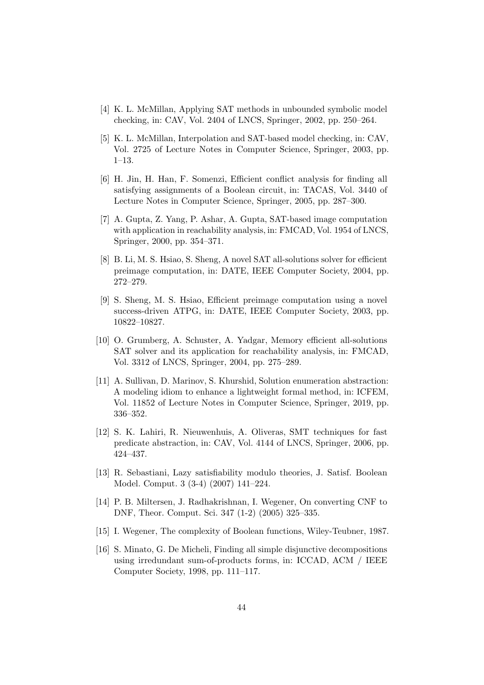- <span id="page-43-0"></span>[4] K. L. McMillan, Applying SAT methods in unbounded symbolic model checking, in: CAV, Vol. 2404 of LNCS, Springer, 2002, pp. 250–264.
- <span id="page-43-1"></span>[5] K. L. McMillan, Interpolation and SAT-based model checking, in: CAV, Vol. 2725 of Lecture Notes in Computer Science, Springer, 2003, pp. 1–13.
- <span id="page-43-2"></span>[6] H. Jin, H. Han, F. Somenzi, Efficient conflict analysis for finding all satisfying assignments of a Boolean circuit, in: TACAS, Vol. 3440 of Lecture Notes in Computer Science, Springer, 2005, pp. 287–300.
- <span id="page-43-3"></span>[7] A. Gupta, Z. Yang, P. Ashar, A. Gupta, SAT-based image computation with application in reachability analysis, in: FMCAD, Vol. 1954 of LNCS, Springer, 2000, pp. 354–371.
- <span id="page-43-4"></span>[8] B. Li, M. S. Hsiao, S. Sheng, A novel SAT all-solutions solver for efficient preimage computation, in: DATE, IEEE Computer Society, 2004, pp. 272–279.
- <span id="page-43-5"></span>[9] S. Sheng, M. S. Hsiao, Efficient preimage computation using a novel success-driven ATPG, in: DATE, IEEE Computer Society, 2003, pp. 10822–10827.
- <span id="page-43-6"></span>[10] O. Grumberg, A. Schuster, A. Yadgar, Memory efficient all-solutions SAT solver and its application for reachability analysis, in: FMCAD, Vol. 3312 of LNCS, Springer, 2004, pp. 275–289.
- <span id="page-43-7"></span>[11] A. Sullivan, D. Marinov, S. Khurshid, Solution enumeration abstraction: A modeling idiom to enhance a lightweight formal method, in: ICFEM, Vol. 11852 of Lecture Notes in Computer Science, Springer, 2019, pp. 336–352.
- <span id="page-43-8"></span>[12] S. K. Lahiri, R. Nieuwenhuis, A. Oliveras, SMT techniques for fast predicate abstraction, in: CAV, Vol. 4144 of LNCS, Springer, 2006, pp. 424–437.
- <span id="page-43-9"></span>[13] R. Sebastiani, Lazy satisfiability modulo theories, J. Satisf. Boolean Model. Comput. 3 (3-4) (2007) 141–224.
- <span id="page-43-10"></span>[14] P. B. Miltersen, J. Radhakrishnan, I. Wegener, On converting CNF to DNF, Theor. Comput. Sci. 347 (1-2) (2005) 325–335.
- <span id="page-43-11"></span>[15] I. Wegener, The complexity of Boolean functions, Wiley-Teubner, 1987.
- <span id="page-43-12"></span>[16] S. Minato, G. De Micheli, Finding all simple disjunctive decompositions using irredundant sum-of-products forms, in: ICCAD, ACM / IEEE Computer Society, 1998, pp. 111–117.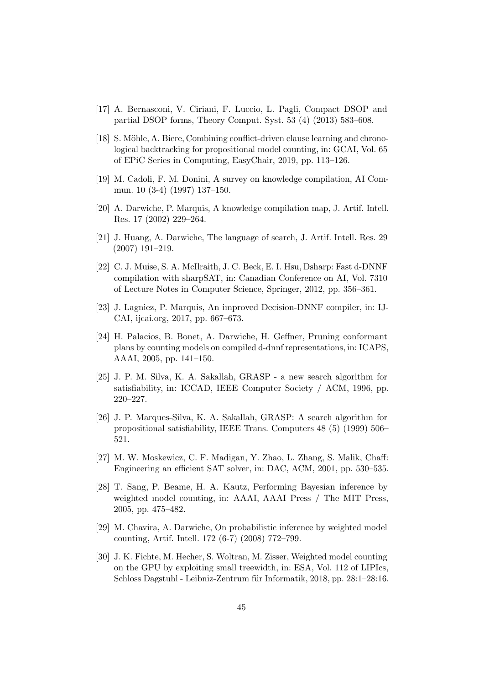- <span id="page-44-0"></span>[17] A. Bernasconi, V. Ciriani, F. Luccio, L. Pagli, Compact DSOP and partial DSOP forms, Theory Comput. Syst. 53 (4) (2013) 583–608.
- <span id="page-44-1"></span>[18] S. Möhle, A. Biere, Combining conflict-driven clause learning and chronological backtracking for propositional model counting, in: GCAI, Vol. 65 of EPiC Series in Computing, EasyChair, 2019, pp. 113–126.
- <span id="page-44-2"></span>[19] M. Cadoli, F. M. Donini, A survey on knowledge compilation, AI Commun. 10 (3-4) (1997) 137–150.
- <span id="page-44-3"></span>[20] A. Darwiche, P. Marquis, A knowledge compilation map, J. Artif. Intell. Res. 17 (2002) 229–264.
- <span id="page-44-4"></span>[21] J. Huang, A. Darwiche, The language of search, J. Artif. Intell. Res. 29 (2007) 191–219.
- <span id="page-44-5"></span>[22] C. J. Muise, S. A. McIlraith, J. C. Beck, E. I. Hsu, Dsharp: Fast d-DNNF compilation with sharpSAT, in: Canadian Conference on AI, Vol. 7310 of Lecture Notes in Computer Science, Springer, 2012, pp. 356–361.
- <span id="page-44-6"></span>[23] J. Lagniez, P. Marquis, An improved Decision-DNNF compiler, in: IJ-CAI, ijcai.org, 2017, pp. 667–673.
- <span id="page-44-7"></span>[24] H. Palacios, B. Bonet, A. Darwiche, H. Geffner, Pruning conformant plans by counting models on compiled d-dnnf representations, in: ICAPS, AAAI, 2005, pp. 141–150.
- <span id="page-44-8"></span>[25] J. P. M. Silva, K. A. Sakallah, GRASP - a new search algorithm for satisfiability, in: ICCAD, IEEE Computer Society / ACM, 1996, pp. 220–227.
- <span id="page-44-9"></span>[26] J. P. Marques-Silva, K. A. Sakallah, GRASP: A search algorithm for propositional satisfiability, IEEE Trans. Computers 48 (5) (1999) 506– 521.
- <span id="page-44-10"></span>[27] M. W. Moskewicz, C. F. Madigan, Y. Zhao, L. Zhang, S. Malik, Chaff: Engineering an efficient SAT solver, in: DAC, ACM, 2001, pp. 530–535.
- <span id="page-44-11"></span>[28] T. Sang, P. Beame, H. A. Kautz, Performing Bayesian inference by weighted model counting, in: AAAI, AAAI Press / The MIT Press, 2005, pp. 475–482.
- <span id="page-44-12"></span>[29] M. Chavira, A. Darwiche, On probabilistic inference by weighted model counting, Artif. Intell. 172 (6-7) (2008) 772–799.
- <span id="page-44-13"></span>[30] J. K. Fichte, M. Hecher, S. Woltran, M. Zisser, Weighted model counting on the GPU by exploiting small treewidth, in: ESA, Vol. 112 of LIPIcs, Schloss Dagstuhl - Leibniz-Zentrum für Informatik, 2018, pp. 28:1–28:16.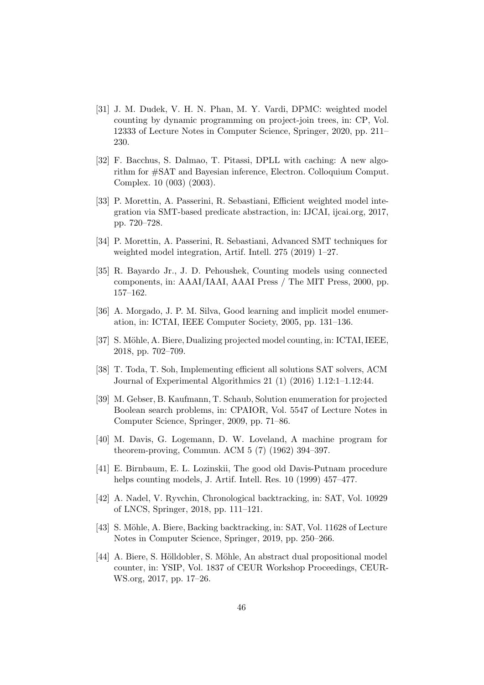- <span id="page-45-0"></span>[31] J. M. Dudek, V. H. N. Phan, M. Y. Vardi, DPMC: weighted model counting by dynamic programming on project-join trees, in: CP, Vol. 12333 of Lecture Notes in Computer Science, Springer, 2020, pp. 211– 230.
- <span id="page-45-1"></span>[32] F. Bacchus, S. Dalmao, T. Pitassi, DPLL with caching: A new algorithm for #SAT and Bayesian inference, Electron. Colloquium Comput. Complex. 10 (003) (2003).
- <span id="page-45-2"></span>[33] P. Morettin, A. Passerini, R. Sebastiani, Efficient weighted model integration via SMT-based predicate abstraction, in: IJCAI, ijcai.org, 2017, pp. 720–728.
- <span id="page-45-3"></span>[34] P. Morettin, A. Passerini, R. Sebastiani, Advanced SMT techniques for weighted model integration, Artif. Intell. 275 (2019) 1–27.
- <span id="page-45-4"></span>[35] R. Bayardo Jr., J. D. Pehoushek, Counting models using connected components, in: AAAI/IAAI, AAAI Press / The MIT Press, 2000, pp. 157–162.
- <span id="page-45-5"></span>[36] A. Morgado, J. P. M. Silva, Good learning and implicit model enumeration, in: ICTAI, IEEE Computer Society, 2005, pp. 131–136.
- <span id="page-45-6"></span>[37] S. Möhle, A. Biere, Dualizing projected model counting, in: ICTAI, IEEE, 2018, pp. 702–709.
- <span id="page-45-7"></span>[38] T. Toda, T. Soh, Implementing efficient all solutions SAT solvers, ACM Journal of Experimental Algorithmics 21 (1) (2016) 1.12:1–1.12:44.
- <span id="page-45-8"></span>[39] M. Gebser, B. Kaufmann, T. Schaub, Solution enumeration for projected Boolean search problems, in: CPAIOR, Vol. 5547 of Lecture Notes in Computer Science, Springer, 2009, pp. 71–86.
- <span id="page-45-9"></span>[40] M. Davis, G. Logemann, D. W. Loveland, A machine program for theorem-proving, Commun. ACM 5 (7) (1962) 394–397.
- <span id="page-45-10"></span>[41] E. Birnbaum, E. L. Lozinskii, The good old Davis-Putnam procedure helps counting models, J. Artif. Intell. Res. 10 (1999) 457–477.
- <span id="page-45-11"></span>[42] A. Nadel, V. Ryvchin, Chronological backtracking, in: SAT, Vol. 10929 of LNCS, Springer, 2018, pp. 111–121.
- <span id="page-45-12"></span>[43] S. Möhle, A. Biere, Backing backtracking, in: SAT, Vol. 11628 of Lecture Notes in Computer Science, Springer, 2019, pp. 250–266.
- <span id="page-45-13"></span>[44] A. Biere, S. Hölldobler, S. Möhle, An abstract dual propositional model counter, in: YSIP, Vol. 1837 of CEUR Workshop Proceedings, CEUR-WS.org, 2017, pp. 17–26.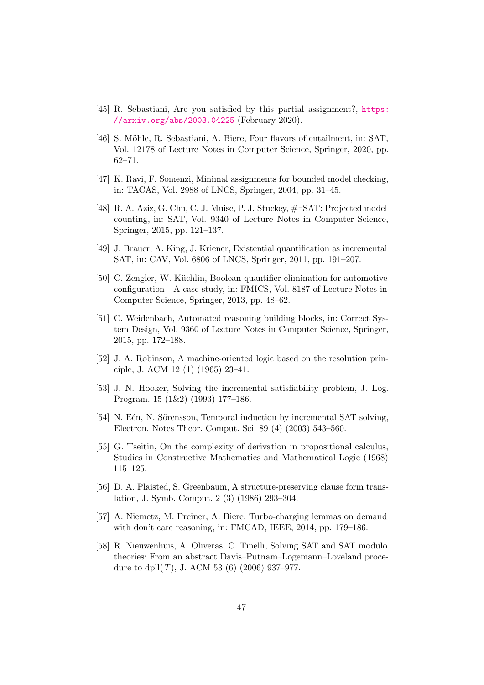- <span id="page-46-0"></span>[45] R. Sebastiani, Are you satisfied by this partial assignment?, [https:](https://arxiv.org/abs/2003.04225) [//arxiv.org/abs/2003.04225](https://arxiv.org/abs/2003.04225) (February 2020).
- <span id="page-46-1"></span>[46] S. Möhle, R. Sebastiani, A. Biere, Four flavors of entailment, in: SAT, Vol. 12178 of Lecture Notes in Computer Science, Springer, 2020, pp. 62–71.
- <span id="page-46-2"></span>[47] K. Ravi, F. Somenzi, Minimal assignments for bounded model checking, in: TACAS, Vol. 2988 of LNCS, Springer, 2004, pp. 31–45.
- <span id="page-46-3"></span>[48] R. A. Aziz, G. Chu, C. J. Muise, P. J. Stuckey, #∃SAT: Projected model counting, in: SAT, Vol. 9340 of Lecture Notes in Computer Science, Springer, 2015, pp. 121–137.
- [49] J. Brauer, A. King, J. Kriener, Existential quantification as incremental SAT, in: CAV, Vol. 6806 of LNCS, Springer, 2011, pp. 191–207.
- [50] C. Zengler, W. Küchlin, Boolean quantifier elimination for automotive configuration - A case study, in: FMICS, Vol. 8187 of Lecture Notes in Computer Science, Springer, 2013, pp. 48–62.
- <span id="page-46-4"></span>[51] C. Weidenbach, Automated reasoning building blocks, in: Correct System Design, Vol. 9360 of Lecture Notes in Computer Science, Springer, 2015, pp. 172–188.
- <span id="page-46-5"></span>[52] J. A. Robinson, A machine-oriented logic based on the resolution principle, J. ACM 12 (1) (1965) 23–41.
- <span id="page-46-6"></span>[53] J. N. Hooker, Solving the incremental satisfiability problem, J. Log. Program. 15 (1&2) (1993) 177–186.
- <span id="page-46-7"></span>[54] N. E<sup> $\acute{e}$ </sup>n, N. Sörensson, Temporal induction by incremental SAT solving, Electron. Notes Theor. Comput. Sci. 89 (4) (2003) 543–560.
- <span id="page-46-8"></span>[55] G. Tseitin, On the complexity of derivation in propositional calculus, Studies in Constructive Mathematics and Mathematical Logic (1968) 115–125.
- <span id="page-46-9"></span>[56] D. A. Plaisted, S. Greenbaum, A structure-preserving clause form translation, J. Symb. Comput. 2 (3) (1986) 293–304.
- <span id="page-46-10"></span>[57] A. Niemetz, M. Preiner, A. Biere, Turbo-charging lemmas on demand with don't care reasoning, in: FMCAD, IEEE, 2014, pp. 179–186.
- <span id="page-46-11"></span>[58] R. Nieuwenhuis, A. Oliveras, C. Tinelli, Solving SAT and SAT modulo theories: From an abstract Davis–Putnam–Logemann–Loveland procedure to dpll $(T)$ , J. ACM 53  $(6)$  (2006) 937–977.